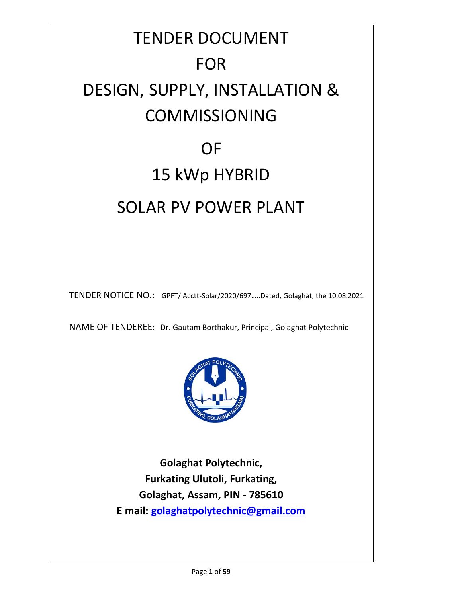# TENDER DOCUMENT FOR DESIGN, SUPPLY, INSTALLATION & COMMISSIONING **OF** 15 kWp HYBRID

# SOLAR PV POWER PLANT

TENDER NOTICE NO.: GPFT/ Acctt-Solar/2020/697…..Dated, Golaghat, the 10.08.2021

NAME OF TENDEREE: Dr. Gautam Borthakur, Principal, Golaghat Polytechnic



**Golaghat Polytechnic, Furkating Ulutoli, Furkating, Golaghat, Assam, PIN - 785610 E mail: g[olaghatpolytechnic@gmail.com](mailto:golaghatpolytechnic@gmail.com)**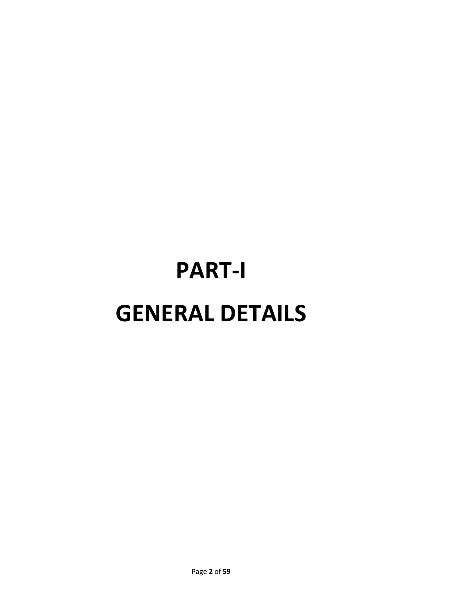# **PART-I GENERAL DETAILS**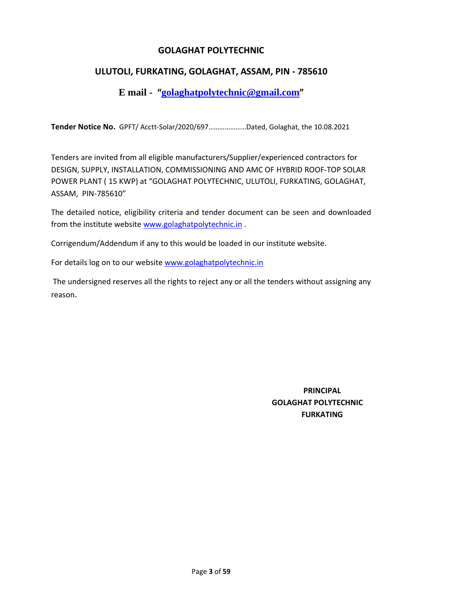## **G[OLAGHAT POLYTECHNIC](mailto:golaghatpolytechnic@gmail.com)**

### **ULUTOLI, FURKATING, GOLAGHAT, ASSAM, PIN - 785610**

**E mail - "golaghatpolytechnic@gmail.com"**

**Tender Notice No.** GPFT/ Acctt-Solar/2020/697…………………Dated, Golaghat, the 10.08.2021

Tenders are invited from all eligible manufacturers/Supplier/experienced contractors for DESIGN, SUPPLY, INSTALLATION, COMMISSIONING AND AMC OF HYBRID ROOF-TOP SOLAR POWER PLANT ( 15 KWP) at "GOLAGHAT POLYTECHNIC, ULUTOLI, FURKATING, GOLAGHAT, ASSAM, PIN-785610"

The detailed notice, eligibili[ty criteria and tender documen](http://www.golaghatpolytechnic.in/)t can be seen and downloaded from the institute website www.golaghatpolytechnic.in .

Corrigendum/Addendum if any to this [would be loaded in our instit](http://www.golaghatpolytechnic.in/)ute website.

For details log on to our website www.golaghatpolytechnic.in

The undersigned reserves all the rights to reject any or all the tenders without assigning any reason.

> **PRINCIPAL GOLAGHAT POLYTECHNIC FURKATING**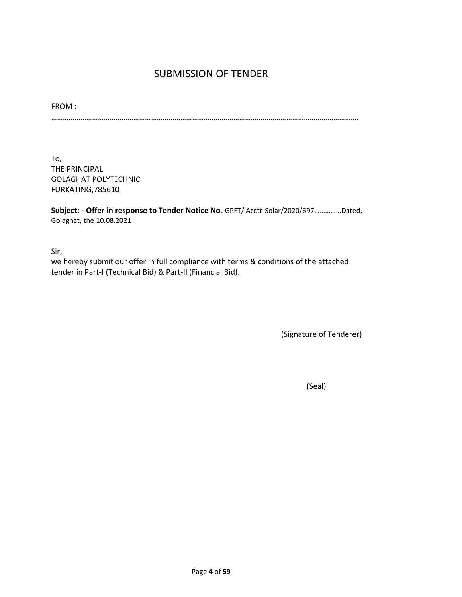# SUBMISSION OF TENDER

FROM :- ………………………………………………………………………………………………………………………………………….

To, THE PRINCIPAL GOLAGHAT POLYTECHNIC FURKATING,785610

**Subject: - Offer in response to Tender Notice No.** GPFT/ Acctt-Solar/2020/697……………Dated, Golaghat, the 10.08.2021

Sir,

we hereby submit our offer in full compliance with terms & conditions of the attached tender in Part-I (Technical Bid) & Part-II (Financial Bid).

(Signature of Tenderer)

(Seal)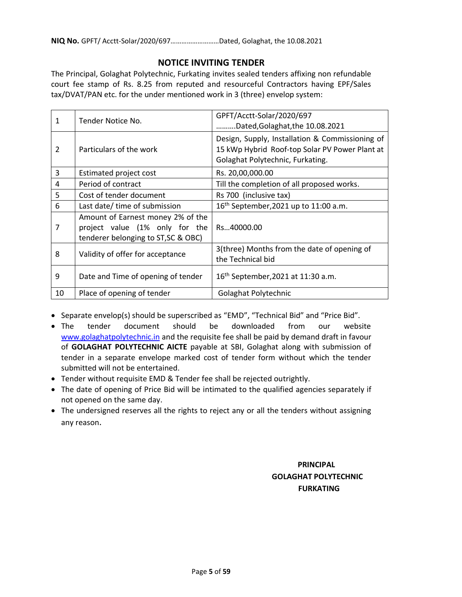### **NOTICE INVITING TENDER**

The Principal, Golaghat Polytechnic, Furkating invites sealed tenders affixing non refundable court fee stamp of Rs. 8.25 from reputed and resourceful Contractors having EPF/Sales tax/DVAT/PAN etc. for the under mentioned work in 3 (three) envelop system:

| 1  | Tender Notice No.                                                                                          | GPFT/Acctt-Solar/2020/697<br>.Dated, Golaghat, the 10.08.2021                                                                         |  |
|----|------------------------------------------------------------------------------------------------------------|---------------------------------------------------------------------------------------------------------------------------------------|--|
| 2  | Particulars of the work                                                                                    | Design, Supply, Installation & Commissioning of<br>15 kWp Hybrid Roof-top Solar PV Power Plant at<br>Golaghat Polytechnic, Furkating. |  |
| 3  | <b>Estimated project cost</b>                                                                              | Rs. 20,00,000.00                                                                                                                      |  |
| 4  | Period of contract                                                                                         | Till the completion of all proposed works.                                                                                            |  |
| 5  | Cost of tender document                                                                                    | Rs 700 (inclusive tax)                                                                                                                |  |
| 6  | Last date/ time of submission                                                                              | 16 <sup>th</sup> September, 2021 up to 11:00 a.m.                                                                                     |  |
| 7  | Amount of Earnest money 2% of the<br>project value (1% only for the<br>tenderer belonging to ST, SC & OBC) | Rs40000.00                                                                                                                            |  |
| 8  | Validity of offer for acceptance                                                                           | 3(three) Months from the date of opening of<br>the Technical bid                                                                      |  |
| 9  | Date and Time of opening of tender                                                                         | 16 <sup>th</sup> September, 2021 at 11:30 a.m.                                                                                        |  |
| 10 | Place of opening of tender                                                                                 | Golaghat Polytechnic                                                                                                                  |  |

• [Separate envelop\(s\) should be su](http://www.golaghatpolytechnic.in/)perscribed as "EMD", "Technical Bid" and "Price Bid".

- The tender document should be downloaded from our website www.golaghatpolytechnic.in and the requisite fee shall be paid by demand draft in favour of **GOLAGHAT POLYTECHNIC AICTE** payable at SBI, Golaghat along with submission of tender in a separate envelope marked cost of tender form without which the tender submitted will not be entertained.
- Tender without requisite EMD & Tender fee shall be rejected outrightly.
- The date of opening of Price Bid will be intimated to the qualified agencies separately if not opened on the same day.
- The undersigned reserves all the rights to reject any or all the tenders without assigning any reason.

# **PRINCIPAL GOLAGHAT POLYTECHNIC FURKATING**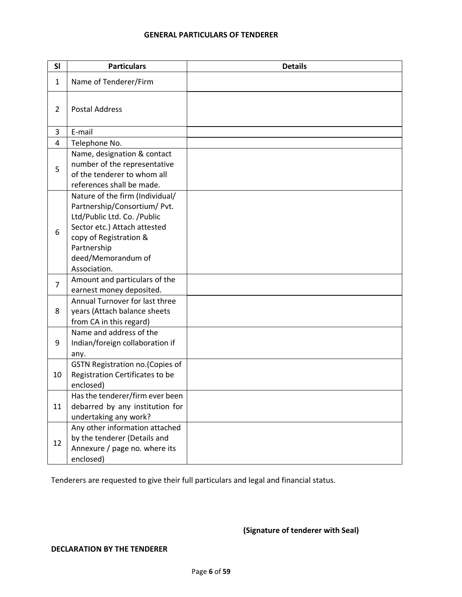#### **GENERAL PARTICULARS OF TENDERER**

| SI             | <b>Particulars</b>                                                                                                                                                                                            | <b>Details</b> |
|----------------|---------------------------------------------------------------------------------------------------------------------------------------------------------------------------------------------------------------|----------------|
| 1              | Name of Tenderer/Firm                                                                                                                                                                                         |                |
| $\overline{2}$ | <b>Postal Address</b>                                                                                                                                                                                         |                |
| 3              | E-mail                                                                                                                                                                                                        |                |
| 4              | Telephone No.                                                                                                                                                                                                 |                |
| 5              | Name, designation & contact<br>number of the representative<br>of the tenderer to whom all<br>references shall be made.                                                                                       |                |
| 6              | Nature of the firm (Individual/<br>Partnership/Consortium/ Pvt.<br>Ltd/Public Ltd. Co. /Public<br>Sector etc.) Attach attested<br>copy of Registration &<br>Partnership<br>deed/Memorandum of<br>Association. |                |
| $\overline{7}$ | Amount and particulars of the<br>earnest money deposited.                                                                                                                                                     |                |
| 8              | Annual Turnover for last three<br>years (Attach balance sheets<br>from CA in this regard)                                                                                                                     |                |
| 9              | Name and address of the<br>Indian/foreign collaboration if<br>any.                                                                                                                                            |                |
| 10             | GSTN Registration no.(Copies of<br>Registration Certificates to be<br>enclosed)                                                                                                                               |                |
| 11             | Has the tenderer/firm ever been<br>debarred by any institution for<br>undertaking any work?                                                                                                                   |                |
| 12             | Any other information attached<br>by the tenderer (Details and<br>Annexure / page no. where its<br>enclosed)                                                                                                  |                |

Tenderers are requested to give their full particulars and legal and financial status.

#### **(Signature of tenderer with Seal)**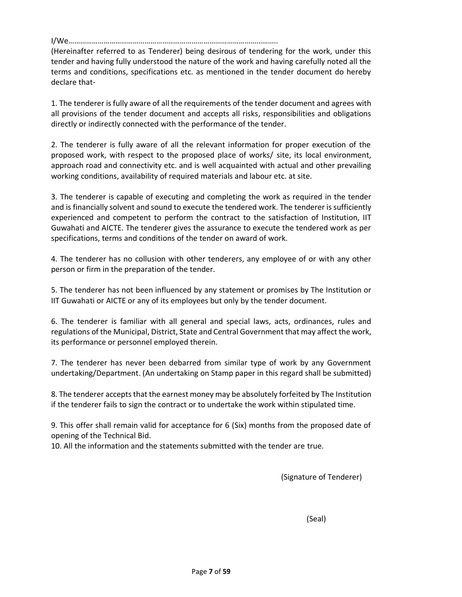I/We……………………………………………………………………………………………..

(Hereinafter referred to as Tenderer) being desirous of tendering for the work, under this tender and having fully understood the nature of the work and having carefully noted all the terms and conditions, specifications etc. as mentioned in the tender document do hereby declare that-

1. The tenderer is fully aware of all the requirements of the tender document and agrees with all provisions of the tender document and accepts all risks, responsibilities and obligations directly or indirectly connected with the performance of the tender.

2. The tenderer is fully aware of all the relevant information for proper execution of the proposed work, with respect to the proposed place of works/ site, its local environment, approach road and connectivity etc. and is well acquainted with actual and other prevailing working conditions, availability of required materials and labour etc. at site.

3. The tenderer is capable of executing and completing the work as required in the tender and is financially solvent and sound to execute the tendered work. The tenderer is sufficiently experienced and competent to perform the contract to the satisfaction of Institution, IIT Guwahati and AICTE. The tenderer gives the assurance to execute the tendered work as per specifications, terms and conditions of the tender on award of work.

4. The tenderer has no collusion with other tenderers, any employee of or with any other person or firm in the preparation of the tender.

5. The tenderer has not been influenced by any statement or promises by The Institution or IIT Guwahati or AICTE or any of its employees but only by the tender document.

6. The tenderer is familiar with all general and special laws, acts, ordinances, rules and regulations of the Municipal, District, State and Central Government that may affect the work, its performance or personnel employed therein.

7. The tenderer has never been debarred from similar type of work by any Government undertaking/Department. (An undertaking on Stamp paper in this regard shall be submitted)

8. The tenderer accepts that the earnest money may be absolutely forfeited by The Institution if the tenderer fails to sign the contract or to undertake the work within stipulated time.

9. This offer shall remain valid for acceptance for 6 (Six) months from the proposed date of opening of the Technical Bid.

10. All the information and the statements submitted with the tender are true.

(Signature of Tenderer)

(Seal)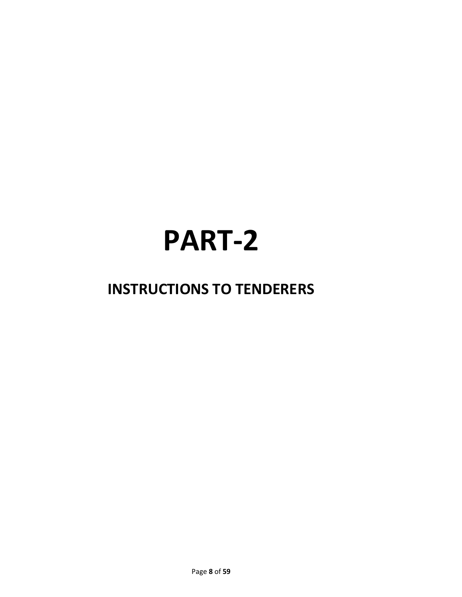# **PART-2**

# **INSTRUCTIONS TO TENDERERS**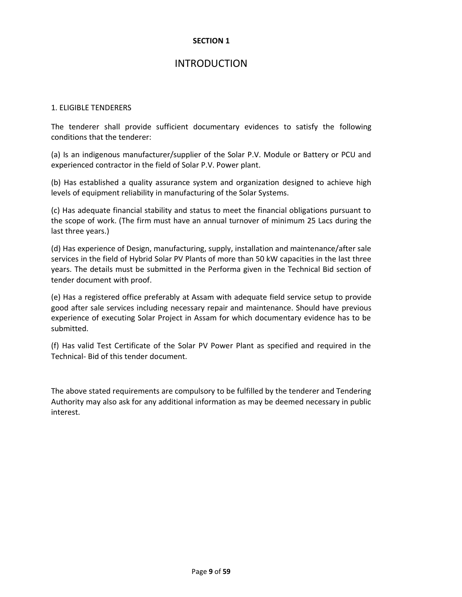# INTRODUCTION

#### 1. ELIGIBLE TENDERERS

The tenderer shall provide sufficient documentary evidences to satisfy the following conditions that the tenderer:

(a) Is an indigenous manufacturer/supplier of the Solar P.V. Module or Battery or PCU and experienced contractor in the field of Solar P.V. Power plant.

(b) Has established a quality assurance system and organization designed to achieve high levels of equipment reliability in manufacturing of the Solar Systems.

(c) Has adequate financial stability and status to meet the financial obligations pursuant to the scope of work. (The firm must have an annual turnover of minimum 25 Lacs during the last three years.)

(d) Has experience of Design, manufacturing, supply, installation and maintenance/after sale services in the field of Hybrid Solar PV Plants of more than 50 kW capacities in the last three years. The details must be submitted in the Performa given in the Technical Bid section of tender document with proof.

(e) Has a registered office preferably at Assam with adequate field service setup to provide good after sale services including necessary repair and maintenance. Should have previous experience of executing Solar Project in Assam for which documentary evidence has to be submitted.

(f) Has valid Test Certificate of the Solar PV Power Plant as specified and required in the Technical- Bid of this tender document.

The above stated requirements are compulsory to be fulfilled by the tenderer and Tendering Authority may also ask for any additional information as may be deemed necessary in public interest.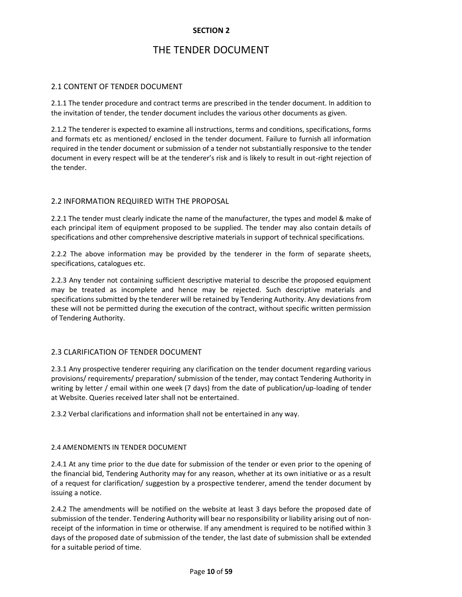# THE TENDER DOCUMENT

#### 2.1 CONTENT OF TENDER DOCUMENT

2.1.1 The tender procedure and contract terms are prescribed in the tender document. In addition to the invitation of tender, the tender document includes the various other documents as given.

2.1.2 The tenderer is expected to examine all instructions, terms and conditions, specifications, forms and formats etc as mentioned/ enclosed in the tender document. Failure to furnish all information required in the tender document or submission of a tender not substantially responsive to the tender document in every respect will be at the tenderer's risk and is likely to result in out-right rejection of the tender.

#### 2.2 INFORMATION REQUIRED WITH THE PROPOSAL

2.2.1 The tender must clearly indicate the name of the manufacturer, the types and model & make of each principal item of equipment proposed to be supplied. The tender may also contain details of specifications and other comprehensive descriptive materials in support of technical specifications.

2.2.2 The above information may be provided by the tenderer in the form of separate sheets, specifications, catalogues etc.

2.2.3 Any tender not containing sufficient descriptive material to describe the proposed equipment may be treated as incomplete and hence may be rejected. Such descriptive materials and specifications submitted by the tenderer will be retained by Tendering Authority. Any deviations from these will not be permitted during the execution of the contract, without specific written permission of Tendering Authority.

#### 2.3 CLARIFICATION OF TENDER DOCUMENT

2.3.1 Any prospective tenderer requiring any clarification on the tender document regarding various provisions/ requirements/ preparation/ submission of the tender, may contact Tendering Authority in writing by letter / email within one week (7 days) from the date of publication/up-loading of tender at Website. Queries received later shall not be entertained.

2.3.2 Verbal clarifications and information shall not be entertained in any way.

#### 2.4 AMENDMENTS IN TENDER DOCUMENT

2.4.1 At any time prior to the due date for submission of the tender or even prior to the opening of the financial bid, Tendering Authority may for any reason, whether at its own initiative or as a result of a request for clarification/ suggestion by a prospective tenderer, amend the tender document by issuing a notice.

2.4.2 The amendments will be notified on the website at least 3 days before the proposed date of submission of the tender. Tendering Authority will bear no responsibility or liability arising out of nonreceipt of the information in time or otherwise. If any amendment is required to be notified within 3 days of the proposed date of submission of the tender, the last date of submission shall be extended for a suitable period of time.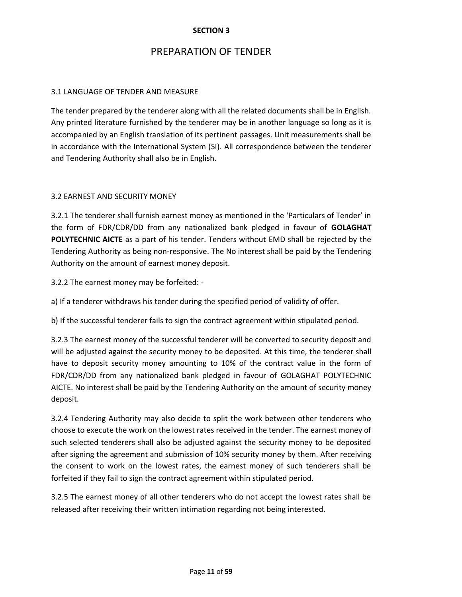# PREPARATION OF TENDER

#### 3.1 LANGUAGE OF TENDER AND MEASURE

The tender prepared by the tenderer along with all the related documents shall be in English. Any printed literature furnished by the tenderer may be in another language so long as it is accompanied by an English translation of its pertinent passages. Unit measurements shall be in accordance with the International System (SI). All correspondence between the tenderer and Tendering Authority shall also be in English.

#### 3.2 EARNEST AND SECURITY MONEY

3.2.1 The tenderer shall furnish earnest money as mentioned in the 'Particulars of Tender' in the form of FDR/CDR/DD from any nationalized bank pledged in favour of **GOLAGHAT POLYTECHNIC AICTE** as a part of his tender. Tenders without EMD shall be rejected by the Tendering Authority as being non-responsive. The No interest shall be paid by the Tendering Authority on the amount of earnest money deposit.

3.2.2 The earnest money may be forfeited: -

a) If a tenderer withdraws his tender during the specified period of validity of offer.

b) If the successful tenderer fails to sign the contract agreement within stipulated period.

3.2.3 The earnest money of the successful tenderer will be converted to security deposit and will be adjusted against the security money to be deposited. At this time, the tenderer shall have to deposit security money amounting to 10% of the contract value in the form of FDR/CDR/DD from any nationalized bank pledged in favour of GOLAGHAT POLYTECHNIC AICTE. No interest shall be paid by the Tendering Authority on the amount of security money deposit.

3.2.4 Tendering Authority may also decide to split the work between other tenderers who choose to execute the work on the lowest rates received in the tender. The earnest money of such selected tenderers shall also be adjusted against the security money to be deposited after signing the agreement and submission of 10% security money by them. After receiving the consent to work on the lowest rates, the earnest money of such tenderers shall be forfeited if they fail to sign the contract agreement within stipulated period.

3.2.5 The earnest money of all other tenderers who do not accept the lowest rates shall be released after receiving their written intimation regarding not being interested.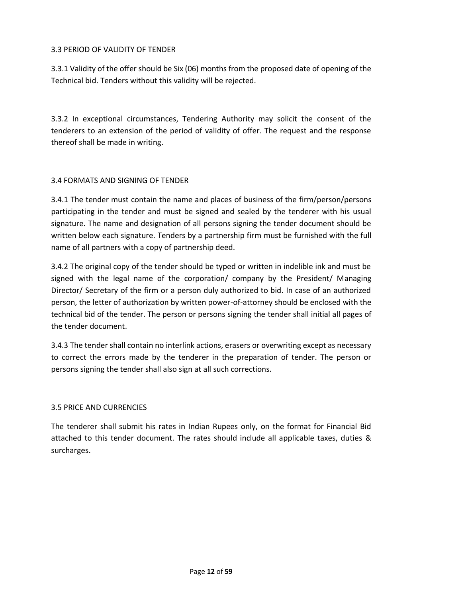#### 3.3 PERIOD OF VALIDITY OF TENDER

3.3.1 Validity of the offer should be Six (06) months from the proposed date of opening of the Technical bid. Tenders without this validity will be rejected.

3.3.2 In exceptional circumstances, Tendering Authority may solicit the consent of the tenderers to an extension of the period of validity of offer. The request and the response thereof shall be made in writing.

#### 3.4 FORMATS AND SIGNING OF TENDER

3.4.1 The tender must contain the name and places of business of the firm/person/persons participating in the tender and must be signed and sealed by the tenderer with his usual signature. The name and designation of all persons signing the tender document should be written below each signature. Tenders by a partnership firm must be furnished with the full name of all partners with a copy of partnership deed.

3.4.2 The original copy of the tender should be typed or written in indelible ink and must be signed with the legal name of the corporation/ company by the President/ Managing Director/ Secretary of the firm or a person duly authorized to bid. In case of an authorized person, the letter of authorization by written power-of-attorney should be enclosed with the technical bid of the tender. The person or persons signing the tender shall initial all pages of the tender document.

3.4.3 The tender shall contain no interlink actions, erasers or overwriting except as necessary to correct the errors made by the tenderer in the preparation of tender. The person or persons signing the tender shall also sign at all such corrections.

#### 3.5 PRICE AND CURRENCIES

The tenderer shall submit his rates in Indian Rupees only, on the format for Financial Bid attached to this tender document. The rates should include all applicable taxes, duties & surcharges.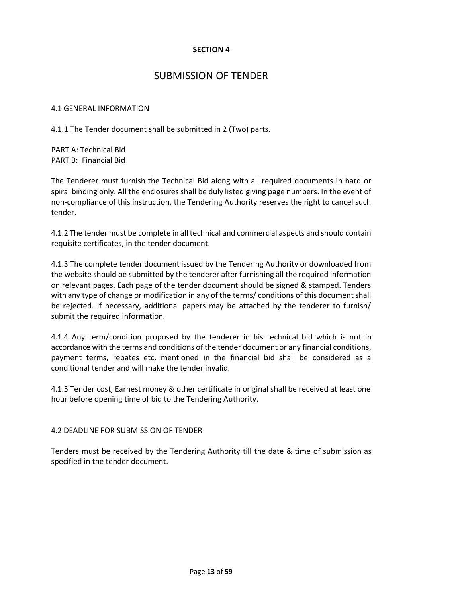# SUBMISSION OF TENDER

#### 4.1 GENERAL INFORMATION

4.1.1 The Tender document shall be submitted in 2 (Two) parts.

PART A: Technical Bid PART B: Financial Bid

The Tenderer must furnish the Technical Bid along with all required documents in hard or spiral binding only. All the enclosures shall be duly listed giving page numbers. In the event of non-compliance of this instruction, the Tendering Authority reserves the right to cancel such tender.

4.1.2 The tender must be complete in all technical and commercial aspects and should contain requisite certificates, in the tender document.

4.1.3 The complete tender document issued by the Tendering Authority or downloaded from the website should be submitted by the tenderer after furnishing all the required information on relevant pages. Each page of the tender document should be signed & stamped. Tenders with any type of change or modification in any of the terms/ conditions of this document shall be rejected. If necessary, additional papers may be attached by the tenderer to furnish/ submit the required information.

4.1.4 Any term/condition proposed by the tenderer in his technical bid which is not in accordance with the terms and conditions of the tender document or any financial conditions, payment terms, rebates etc. mentioned in the financial bid shall be considered as a conditional tender and will make the tender invalid.

4.1.5 Tender cost, Earnest money & other certificate in original shall be received at least one hour before opening time of bid to the Tendering Authority.

#### 4.2 DEADLINE FOR SUBMISSION OF TENDER

Tenders must be received by the Tendering Authority till the date & time of submission as specified in the tender document.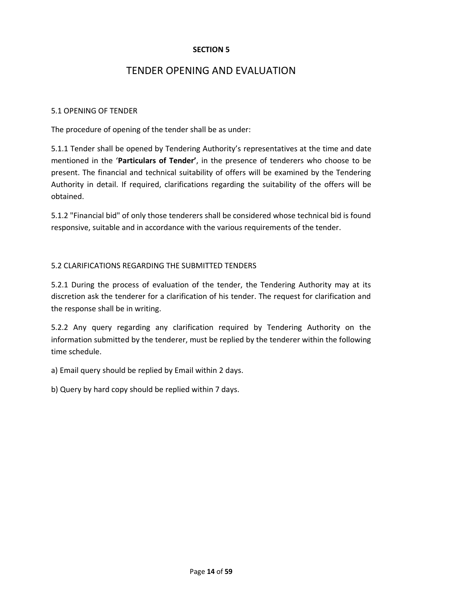## TENDER OPENING AND EVALUATION

#### 5.1 OPENING OF TENDER

The procedure of opening of the tender shall be as under:

5.1.1 Tender shall be opened by Tendering Authority's representatives at the time and date mentioned in the '**Particulars of Tender'**, in the presence of tenderers who choose to be present. The financial and technical suitability of offers will be examined by the Tendering Authority in detail. If required, clarifications regarding the suitability of the offers will be obtained.

5.1.2 "Financial bid" of only those tenderers shall be considered whose technical bid is found responsive, suitable and in accordance with the various requirements of the tender.

#### 5.2 CLARIFICATIONS REGARDING THE SUBMITTED TENDERS

5.2.1 During the process of evaluation of the tender, the Tendering Authority may at its discretion ask the tenderer for a clarification of his tender. The request for clarification and the response shall be in writing.

5.2.2 Any query regarding any clarification required by Tendering Authority on the information submitted by the tenderer, must be replied by the tenderer within the following time schedule.

a) Email query should be replied by Email within 2 days.

b) Query by hard copy should be replied within 7 days.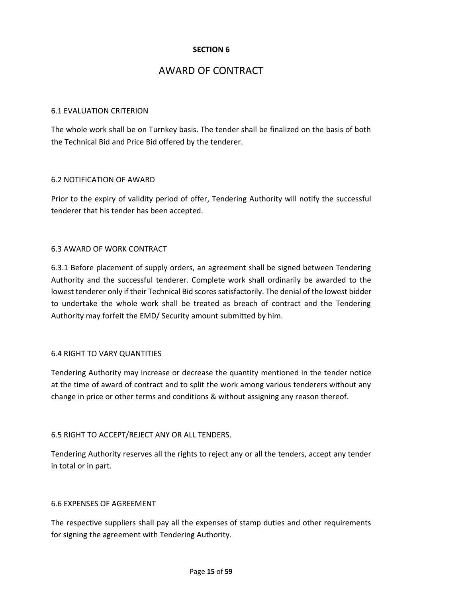## AWARD OF CONTRACT

#### 6.1 EVALUATION CRITERION

The whole work shall be on Turnkey basis. The tender shall be finalized on the basis of both the Technical Bid and Price Bid offered by the tenderer.

#### 6.2 NOTIFICATION OF AWARD

Prior to the expiry of validity period of offer, Tendering Authority will notify the successful tenderer that his tender has been accepted.

#### 6.3 AWARD OF WORK CONTRACT

6.3.1 Before placement of supply orders, an agreement shall be signed between Tendering Authority and the successful tenderer. Complete work shall ordinarily be awarded to the lowest tenderer only if their Technical Bid scores satisfactorily. The denial of the lowest bidder to undertake the whole work shall be treated as breach of contract and the Tendering Authority may forfeit the EMD/ Security amount submitted by him.

#### 6.4 RIGHT TO VARY QUANTITIES

Tendering Authority may increase or decrease the quantity mentioned in the tender notice at the time of award of contract and to split the work among various tenderers without any change in price or other terms and conditions & without assigning any reason thereof.

#### 6.5 RIGHT TO ACCEPT/REJECT ANY OR ALL TENDERS.

Tendering Authority reserves all the rights to reject any or all the tenders, accept any tender in total or in part.

#### 6.6 EXPENSES OF AGREEMENT

The respective suppliers shall pay all the expenses of stamp duties and other requirements for signing the agreement with Tendering Authority.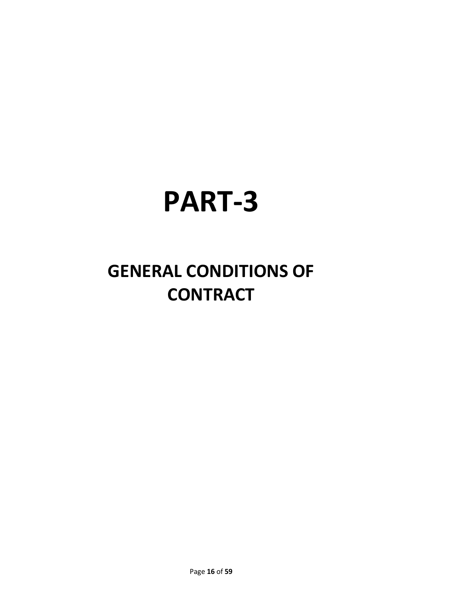# **PART-3**

# **GENERAL CONDITIONS OF CONTRACT**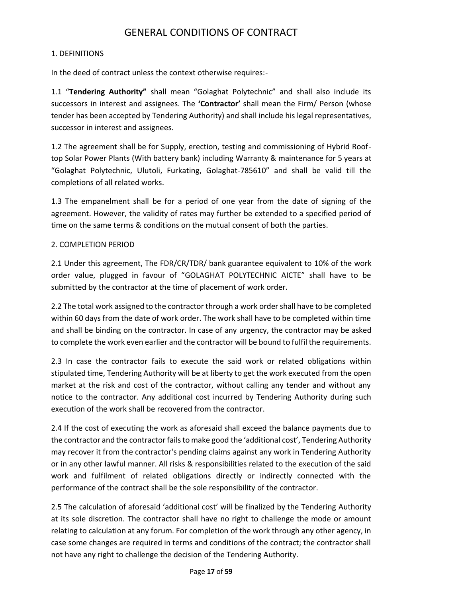# GENERAL CONDITIONS OF CONTRACT

#### 1. DEFINITIONS

In the deed of contract unless the context otherwise requires:-

1.1 "**Tendering Authority"** shall mean "Golaghat Polytechnic" and shall also include its successors in interest and assignees. The **'Contractor'** shall mean the Firm/ Person (whose tender has been accepted by Tendering Authority) and shall include his legal representatives, successor in interest and assignees.

1.2 The agreement shall be for Supply, erection, testing and commissioning of Hybrid Rooftop Solar Power Plants (With battery bank) including Warranty & maintenance for 5 years at "Golaghat Polytechnic, Ulutoli, Furkating, Golaghat-785610" and shall be valid till the completions of all related works.

1.3 The empanelment shall be for a period of one year from the date of signing of the agreement. However, the validity of rates may further be extended to a specified period of time on the same terms & conditions on the mutual consent of both the parties.

#### 2. COMPLETION PERIOD

2.1 Under this agreement, The FDR/CR/TDR/ bank guarantee equivalent to 10% of the work order value, plugged in favour of "GOLAGHAT POLYTECHNIC AICTE" shall have to be submitted by the contractor at the time of placement of work order.

2.2 The total work assigned to the contractor through a work order shall have to be completed within 60 days from the date of work order. The work shall have to be completed within time and shall be binding on the contractor. In case of any urgency, the contractor may be asked to complete the work even earlier and the contractor will be bound to fulfil the requirements.

2.3 In case the contractor fails to execute the said work or related obligations within stipulated time, Tendering Authority will be at liberty to get the work executed from the open market at the risk and cost of the contractor, without calling any tender and without any notice to the contractor. Any additional cost incurred by Tendering Authority during such execution of the work shall be recovered from the contractor.

2.4 If the cost of executing the work as aforesaid shall exceed the balance payments due to the contractor and the contractor fails to make good the 'additional cost', Tendering Authority may recover it from the contractor's pending claims against any work in Tendering Authority or in any other lawful manner. All risks & responsibilities related to the execution of the said work and fulfilment of related obligations directly or indirectly connected with the performance of the contract shall be the sole responsibility of the contractor.

2.5 The calculation of aforesaid 'additional cost' will be finalized by the Tendering Authority at its sole discretion. The contractor shall have no right to challenge the mode or amount relating to calculation at any forum. For completion of the work through any other agency, in case some changes are required in terms and conditions of the contract; the contractor shall not have any right to challenge the decision of the Tendering Authority.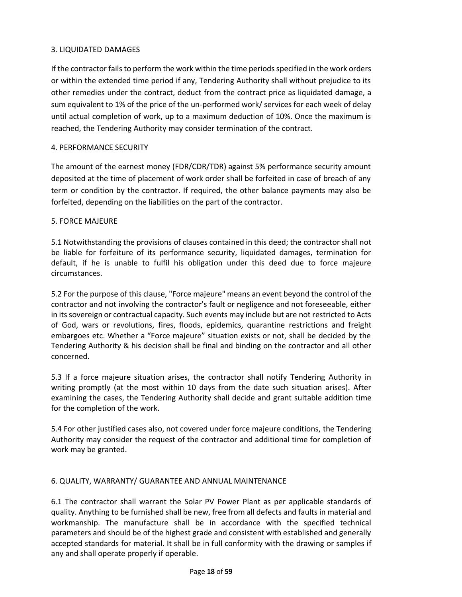#### 3. LIQUIDATED DAMAGES

If the contractor fails to perform the work within the time periods specified in the work orders or within the extended time period if any, Tendering Authority shall without prejudice to its other remedies under the contract, deduct from the contract price as liquidated damage, a sum equivalent to 1% of the price of the un-performed work/ services for each week of delay until actual completion of work, up to a maximum deduction of 10%. Once the maximum is reached, the Tendering Authority may consider termination of the contract.

#### 4. PERFORMANCE SECURITY

The amount of the earnest money (FDR/CDR/TDR) against 5% performance security amount deposited at the time of placement of work order shall be forfeited in case of breach of any term or condition by the contractor. If required, the other balance payments may also be forfeited, depending on the liabilities on the part of the contractor.

#### 5. FORCE MAJEURE

5.1 Notwithstanding the provisions of clauses contained in this deed; the contractor shall not be liable for forfeiture of its performance security, liquidated damages, termination for default, if he is unable to fulfil his obligation under this deed due to force majeure circumstances.

5.2 For the purpose of this clause, "Force majeure" means an event beyond the control of the contractor and not involving the contractor's fault or negligence and not foreseeable, either in its sovereign or contractual capacity. Such events may include but are not restricted to Acts of God, wars or revolutions, fires, floods, epidemics, quarantine restrictions and freight embargoes etc. Whether a "Force majeure" situation exists or not, shall be decided by the Tendering Authority & his decision shall be final and binding on the contractor and all other concerned.

5.3 If a force majeure situation arises, the contractor shall notify Tendering Authority in writing promptly (at the most within 10 days from the date such situation arises). After examining the cases, the Tendering Authority shall decide and grant suitable addition time for the completion of the work.

5.4 For other justified cases also, not covered under force majeure conditions, the Tendering Authority may consider the request of the contractor and additional time for completion of work may be granted.

#### 6. QUALITY, WARRANTY/ GUARANTEE AND ANNUAL MAINTENANCE

6.1 The contractor shall warrant the Solar PV Power Plant as per applicable standards of quality. Anything to be furnished shall be new, free from all defects and faults in material and workmanship. The manufacture shall be in accordance with the specified technical parameters and should be of the highest grade and consistent with established and generally accepted standards for material. It shall be in full conformity with the drawing or samples if any and shall operate properly if operable.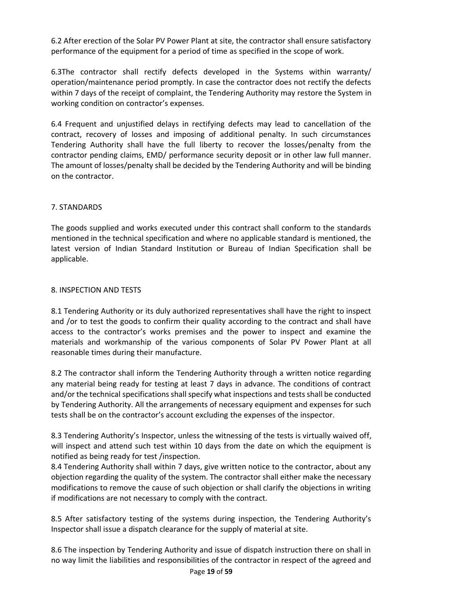6.2 After erection of the Solar PV Power Plant at site, the contractor shall ensure satisfactory performance of the equipment for a period of time as specified in the scope of work.

6.3The contractor shall rectify defects developed in the Systems within warranty/ operation/maintenance period promptly. In case the contractor does not rectify the defects within 7 days of the receipt of complaint, the Tendering Authority may restore the System in working condition on contractor's expenses.

6.4 Frequent and unjustified delays in rectifying defects may lead to cancellation of the contract, recovery of losses and imposing of additional penalty. In such circumstances Tendering Authority shall have the full liberty to recover the losses/penalty from the contractor pending claims, EMD/ performance security deposit or in other law full manner. The amount of losses/penalty shall be decided by the Tendering Authority and will be binding on the contractor.

#### 7. STANDARDS

The goods supplied and works executed under this contract shall conform to the standards mentioned in the technical specification and where no applicable standard is mentioned, the latest version of Indian Standard Institution or Bureau of Indian Specification shall be applicable.

#### 8. INSPECTION AND TESTS

8.1 Tendering Authority or its duly authorized representatives shall have the right to inspect and /or to test the goods to confirm their quality according to the contract and shall have access to the contractor's works premises and the power to inspect and examine the materials and workmanship of the various components of Solar PV Power Plant at all reasonable times during their manufacture.

8.2 The contractor shall inform the Tendering Authority through a written notice regarding any material being ready for testing at least 7 days in advance. The conditions of contract and/or the technical specifications shall specify what inspections and tests shall be conducted by Tendering Authority. All the arrangements of necessary equipment and expenses for such tests shall be on the contractor's account excluding the expenses of the inspector.

8.3 Tendering Authority's Inspector, unless the witnessing of the tests is virtually waived off, will inspect and attend such test within 10 days from the date on which the equipment is notified as being ready for test /inspection.

8.4 Tendering Authority shall within 7 days, give written notice to the contractor, about any objection regarding the quality of the system. The contractor shall either make the necessary modifications to remove the cause of such objection or shall clarify the objections in writing if modifications are not necessary to comply with the contract.

8.5 After satisfactory testing of the systems during inspection, the Tendering Authority's Inspector shall issue a dispatch clearance for the supply of material at site.

8.6 The inspection by Tendering Authority and issue of dispatch instruction there on shall in no way limit the liabilities and responsibilities of the contractor in respect of the agreed and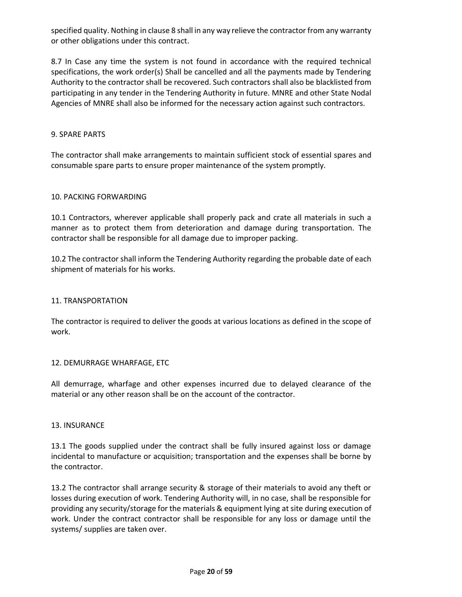specified quality. Nothing in clause 8 shall in any way relieve the contractor from any warranty or other obligations under this contract.

8.7 In Case any time the system is not found in accordance with the required technical specifications, the work order(s) Shall be cancelled and all the payments made by Tendering Authority to the contractor shall be recovered. Such contractors shall also be blacklisted from participating in any tender in the Tendering Authority in future. MNRE and other State Nodal Agencies of MNRE shall also be informed for the necessary action against such contractors.

#### 9. SPARE PARTS

The contractor shall make arrangements to maintain sufficient stock of essential spares and consumable spare parts to ensure proper maintenance of the system promptly.

#### 10. PACKING FORWARDING

10.1 Contractors, wherever applicable shall properly pack and crate all materials in such a manner as to protect them from deterioration and damage during transportation. The contractor shall be responsible for all damage due to improper packing.

10.2 The contractor shall inform the Tendering Authority regarding the probable date of each shipment of materials for his works.

#### 11. TRANSPORTATION

The contractor is required to deliver the goods at various locations as defined in the scope of work.

#### 12. DEMURRAGE WHARFAGE, ETC

All demurrage, wharfage and other expenses incurred due to delayed clearance of the material or any other reason shall be on the account of the contractor.

#### 13. INSURANCE

13.1 The goods supplied under the contract shall be fully insured against loss or damage incidental to manufacture or acquisition; transportation and the expenses shall be borne by the contractor.

13.2 The contractor shall arrange security & storage of their materials to avoid any theft or losses during execution of work. Tendering Authority will, in no case, shall be responsible for providing any security/storage for the materials & equipment lying at site during execution of work. Under the contract contractor shall be responsible for any loss or damage until the systems/ supplies are taken over.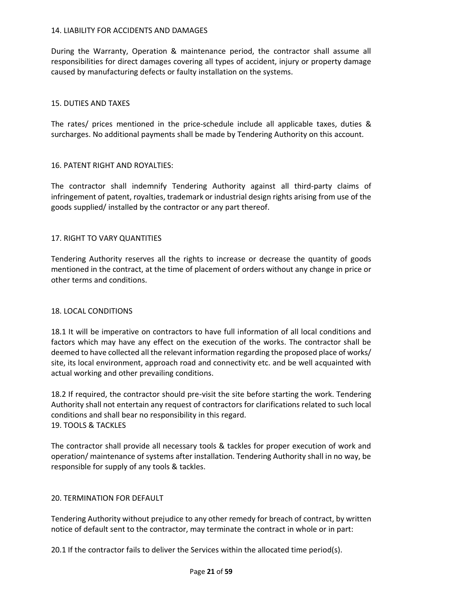#### 14. LIABILITY FOR ACCIDENTS AND DAMAGES

During the Warranty, Operation & maintenance period, the contractor shall assume all responsibilities for direct damages covering all types of accident, injury or property damage caused by manufacturing defects or faulty installation on the systems.

#### 15. DUTIES AND TAXES

The rates/ prices mentioned in the price-schedule include all applicable taxes, duties & surcharges. No additional payments shall be made by Tendering Authority on this account.

#### 16. PATENT RIGHT AND ROYALTIES:

The contractor shall indemnify Tendering Authority against all third-party claims of infringement of patent, royalties, trademark or industrial design rights arising from use of the goods supplied/ installed by the contractor or any part thereof.

#### 17. RIGHT TO VARY QUANTITIES

Tendering Authority reserves all the rights to increase or decrease the quantity of goods mentioned in the contract, at the time of placement of orders without any change in price or other terms and conditions.

#### 18. LOCAL CONDITIONS

18.1 It will be imperative on contractors to have full information of all local conditions and factors which may have any effect on the execution of the works. The contractor shall be deemed to have collected all the relevant information regarding the proposed place of works/ site, its local environment, approach road and connectivity etc. and be well acquainted with actual working and other prevailing conditions.

18.2 If required, the contractor should pre-visit the site before starting the work. Tendering Authority shall not entertain any request of contractors for clarifications related to such local conditions and shall bear no responsibility in this regard. 19. TOOLS & TACKLES

The contractor shall provide all necessary tools & tackles for proper execution of work and operation/ maintenance of systems after installation. Tendering Authority shall in no way, be responsible for supply of any tools & tackles.

#### 20. TERMINATION FOR DEFAULT

Tendering Authority without prejudice to any other remedy for breach of contract, by written notice of default sent to the contractor, may terminate the contract in whole or in part:

20.1 If the contractor fails to deliver the Services within the allocated time period(s).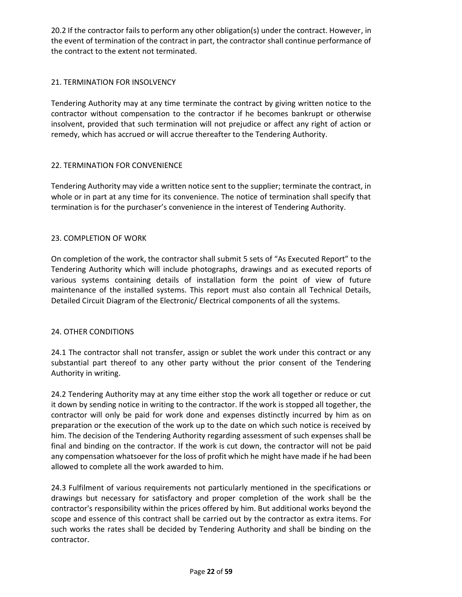20.2 If the contractor fails to perform any other obligation(s) under the contract. However, in the event of termination of the contract in part, the contractor shall continue performance of the contract to the extent not terminated.

#### 21. TERMINATION FOR INSOLVENCY

Tendering Authority may at any time terminate the contract by giving written notice to the contractor without compensation to the contractor if he becomes bankrupt or otherwise insolvent, provided that such termination will not prejudice or affect any right of action or remedy, which has accrued or will accrue thereafter to the Tendering Authority.

#### 22. TERMINATION FOR CONVENIENCE

Tendering Authority may vide a written notice sent to the supplier; terminate the contract, in whole or in part at any time for its convenience. The notice of termination shall specify that termination is for the purchaser's convenience in the interest of Tendering Authority.

#### 23. COMPLETION OF WORK

On completion of the work, the contractor shall submit 5 sets of "As Executed Report" to the Tendering Authority which will include photographs, drawings and as executed reports of various systems containing details of installation form the point of view of future maintenance of the installed systems. This report must also contain all Technical Details, Detailed Circuit Diagram of the Electronic/ Electrical components of all the systems.

#### 24. OTHER CONDITIONS

24.1 The contractor shall not transfer, assign or sublet the work under this contract or any substantial part thereof to any other party without the prior consent of the Tendering Authority in writing.

24.2 Tendering Authority may at any time either stop the work all together or reduce or cut it down by sending notice in writing to the contractor. If the work is stopped all together, the contractor will only be paid for work done and expenses distinctly incurred by him as on preparation or the execution of the work up to the date on which such notice is received by him. The decision of the Tendering Authority regarding assessment of such expenses shall be final and binding on the contractor. If the work is cut down, the contractor will not be paid any compensation whatsoever for the loss of profit which he might have made if he had been allowed to complete all the work awarded to him.

24.3 Fulfilment of various requirements not particularly mentioned in the specifications or drawings but necessary for satisfactory and proper completion of the work shall be the contractor's responsibility within the prices offered by him. But additional works beyond the scope and essence of this contract shall be carried out by the contractor as extra items. For such works the rates shall be decided by Tendering Authority and shall be binding on the contractor.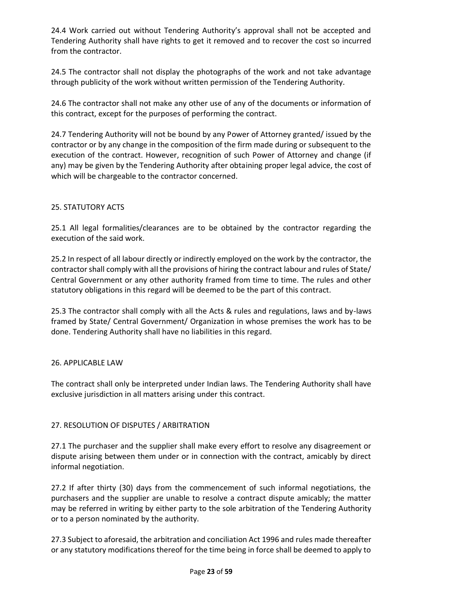24.4 Work carried out without Tendering Authority's approval shall not be accepted and Tendering Authority shall have rights to get it removed and to recover the cost so incurred from the contractor.

24.5 The contractor shall not display the photographs of the work and not take advantage through publicity of the work without written permission of the Tendering Authority.

24.6 The contractor shall not make any other use of any of the documents or information of this contract, except for the purposes of performing the contract.

24.7 Tendering Authority will not be bound by any Power of Attorney granted/ issued by the contractor or by any change in the composition of the firm made during or subsequent to the execution of the contract. However, recognition of such Power of Attorney and change (if any) may be given by the Tendering Authority after obtaining proper legal advice, the cost of which will be chargeable to the contractor concerned.

#### 25. STATUTORY ACTS

25.1 All legal formalities/clearances are to be obtained by the contractor regarding the execution of the said work.

25.2 In respect of all labour directly or indirectly employed on the work by the contractor, the contractor shall comply with all the provisions of hiring the contract labour and rules of State/ Central Government or any other authority framed from time to time. The rules and other statutory obligations in this regard will be deemed to be the part of this contract.

25.3 The contractor shall comply with all the Acts & rules and regulations, laws and by-laws framed by State/ Central Government/ Organization in whose premises the work has to be done. Tendering Authority shall have no liabilities in this regard.

#### 26. APPLICABLE LAW

The contract shall only be interpreted under Indian laws. The Tendering Authority shall have exclusive jurisdiction in all matters arising under this contract.

#### 27. RESOLUTION OF DISPUTES / ARBITRATION

27.1 The purchaser and the supplier shall make every effort to resolve any disagreement or dispute arising between them under or in connection with the contract, amicably by direct informal negotiation.

27.2 If after thirty (30) days from the commencement of such informal negotiations, the purchasers and the supplier are unable to resolve a contract dispute amicably; the matter may be referred in writing by either party to the sole arbitration of the Tendering Authority or to a person nominated by the authority.

27.3 Subject to aforesaid, the arbitration and conciliation Act 1996 and rules made thereafter or any statutory modifications thereof for the time being in force shall be deemed to apply to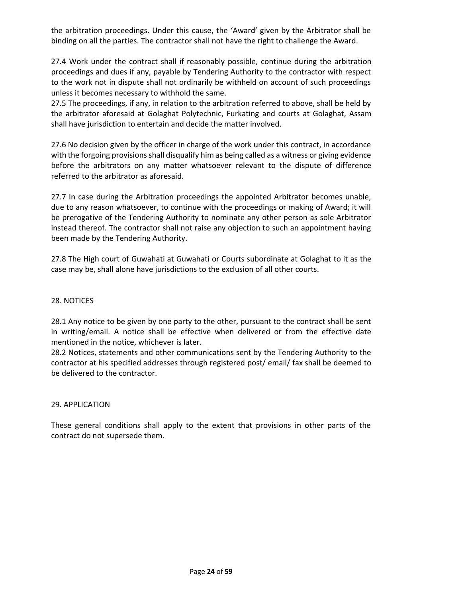the arbitration proceedings. Under this cause, the 'Award' given by the Arbitrator shall be binding on all the parties. The contractor shall not have the right to challenge the Award.

27.4 Work under the contract shall if reasonably possible, continue during the arbitration proceedings and dues if any, payable by Tendering Authority to the contractor with respect to the work not in dispute shall not ordinarily be withheld on account of such proceedings unless it becomes necessary to withhold the same.

27.5 The proceedings, if any, in relation to the arbitration referred to above, shall be held by the arbitrator aforesaid at Golaghat Polytechnic, Furkating and courts at Golaghat, Assam shall have jurisdiction to entertain and decide the matter involved.

27.6 No decision given by the officer in charge of the work under this contract, in accordance with the forgoing provisions shall disqualify him as being called as a witness or giving evidence before the arbitrators on any matter whatsoever relevant to the dispute of difference referred to the arbitrator as aforesaid.

27.7 In case during the Arbitration proceedings the appointed Arbitrator becomes unable, due to any reason whatsoever, to continue with the proceedings or making of Award; it will be prerogative of the Tendering Authority to nominate any other person as sole Arbitrator instead thereof. The contractor shall not raise any objection to such an appointment having been made by the Tendering Authority.

27.8 The High court of Guwahati at Guwahati or Courts subordinate at Golaghat to it as the case may be, shall alone have jurisdictions to the exclusion of all other courts.

#### 28. NOTICES

28.1 Any notice to be given by one party to the other, pursuant to the contract shall be sent in writing/email. A notice shall be effective when delivered or from the effective date mentioned in the notice, whichever is later.

28.2 Notices, statements and other communications sent by the Tendering Authority to the contractor at his specified addresses through registered post/ email/ fax shall be deemed to be delivered to the contractor.

#### 29. APPLICATION

These general conditions shall apply to the extent that provisions in other parts of the contract do not supersede them.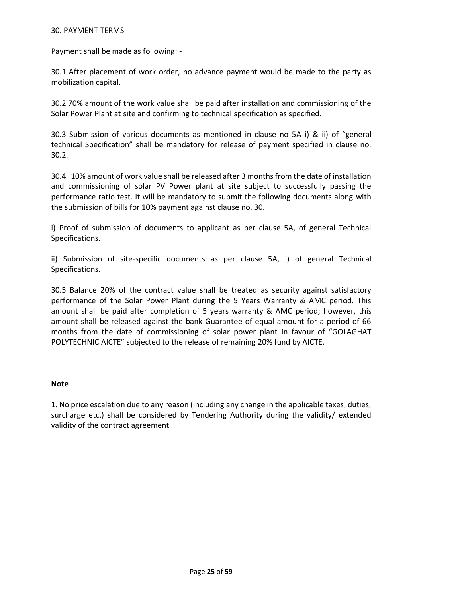#### 30. PAYMENT TERMS

Payment shall be made as following: -

30.1 After placement of work order, no advance payment would be made to the party as mobilization capital.

30.2 70% amount of the work value shall be paid after installation and commissioning of the Solar Power Plant at site and confirming to technical specification as specified.

30.3 Submission of various documents as mentioned in clause no 5A i) & ii) of "general technical Specification" shall be mandatory for release of payment specified in clause no. 30.2.

30.4 10% amount of work value shall be released after 3 months from the date of installation and commissioning of solar PV Power plant at site subject to successfully passing the performance ratio test. It will be mandatory to submit the following documents along with the submission of bills for 10% payment against clause no. 30.

i) Proof of submission of documents to applicant as per clause 5A, of general Technical Specifications.

ii) Submission of site-specific documents as per clause 5A, i) of general Technical Specifications.

30.5 Balance 20% of the contract value shall be treated as security against satisfactory performance of the Solar Power Plant during the 5 Years Warranty & AMC period. This amount shall be paid after completion of 5 years warranty & AMC period; however, this amount shall be released against the bank Guarantee of equal amount for a period of 66 months from the date of commissioning of solar power plant in favour of "GOLAGHAT POLYTECHNIC AICTE" subjected to the release of remaining 20% fund by AICTE.

#### **Note**

1. No price escalation due to any reason (including any change in the applicable taxes, duties, surcharge etc.) shall be considered by Tendering Authority during the validity/ extended validity of the contract agreement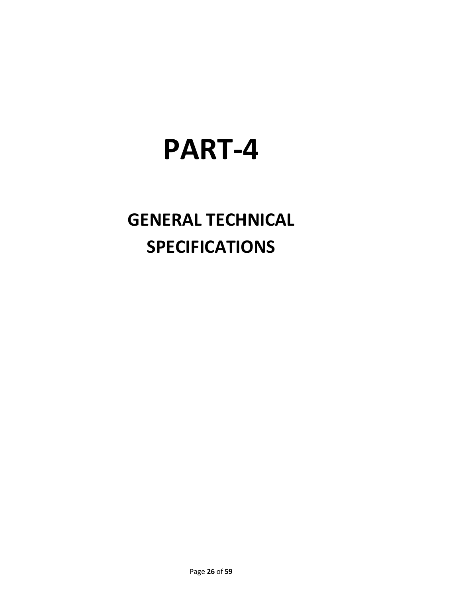# **PART-4**

# **GENERAL TECHNICAL SPECIFICATIONS**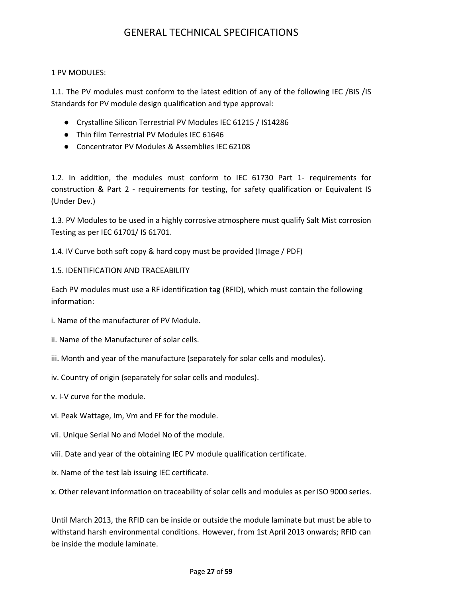# GENERAL TECHNICAL SPECIFICATIONS

#### 1 PV MODULES:

1.1. The PV modules must conform to the latest edition of any of the following IEC /BIS /IS Standards for PV module design qualification and type approval:

- Crystalline Silicon Terrestrial PV Modules IEC 61215 / IS14286
- Thin film Terrestrial PV Modules IEC 61646
- Concentrator PV Modules & Assemblies IEC 62108

1.2. In addition, the modules must conform to IEC 61730 Part 1- requirements for construction & Part 2 - requirements for testing, for safety qualification or Equivalent IS (Under Dev.)

1.3. PV Modules to be used in a highly corrosive atmosphere must qualify Salt Mist corrosion Testing as per IEC 61701/ IS 61701.

1.4. IV Curve both soft copy & hard copy must be provided (Image / PDF)

1.5. IDENTIFICATION AND TRACEABILITY

Each PV modules must use a RF identification tag (RFID), which must contain the following information:

i. Name of the manufacturer of PV Module.

- ii. Name of the Manufacturer of solar cells.
- iii. Month and year of the manufacture (separately for solar cells and modules).
- iv. Country of origin (separately for solar cells and modules).
- v. I-V curve for the module.
- vi. Peak Wattage, Im, Vm and FF for the module.
- vii. Unique Serial No and Model No of the module.
- viii. Date and year of the obtaining IEC PV module qualification certificate.

ix. Name of the test lab issuing IEC certificate.

x. Other relevant information on traceability of solar cells and modules as per ISO 9000 series.

Until March 2013, the RFID can be inside or outside the module laminate but must be able to withstand harsh environmental conditions. However, from 1st April 2013 onwards; RFID can be inside the module laminate.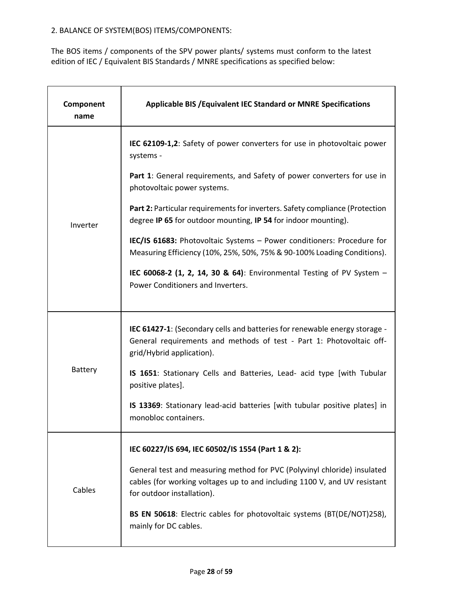### 2. BALANCE OF SYSTEM(BOS) ITEMS/COMPONENTS:

The BOS items / components of the SPV power plants/ systems must conform to the latest edition of IEC / Equivalent BIS Standards / MNRE specifications as specified below:

| Component<br>name | Applicable BIS / Equivalent IEC Standard or MNRE Specifications                                                                                                                        |
|-------------------|----------------------------------------------------------------------------------------------------------------------------------------------------------------------------------------|
|                   | IEC 62109-1,2: Safety of power converters for use in photovoltaic power<br>systems -                                                                                                   |
|                   | Part 1: General requirements, and Safety of power converters for use in<br>photovoltaic power systems.                                                                                 |
| Inverter          | Part 2: Particular requirements for inverters. Safety compliance (Protection<br>degree IP 65 for outdoor mounting, IP 54 for indoor mounting).                                         |
|                   | IEC/IS 61683: Photovoltaic Systems - Power conditioners: Procedure for<br>Measuring Efficiency (10%, 25%, 50%, 75% & 90-100% Loading Conditions).                                      |
|                   | IEC 60068-2 (1, 2, 14, 30 & 64): Environmental Testing of PV System -<br>Power Conditioners and Inverters.                                                                             |
|                   | <b>IEC 61427-1:</b> (Secondary cells and batteries for renewable energy storage -<br>General requirements and methods of test - Part 1: Photovoltaic off-<br>grid/Hybrid application). |
| <b>Battery</b>    | IS 1651: Stationary Cells and Batteries, Lead- acid type [with Tubular<br>positive plates].                                                                                            |
|                   | IS 13369: Stationary lead-acid batteries [with tubular positive plates] in<br>monobloc containers.                                                                                     |
|                   | IEC 60227/IS 694, IEC 60502/IS 1554 (Part 1 & 2):                                                                                                                                      |
| Cables            | General test and measuring method for PVC (Polyvinyl chloride) insulated<br>cables (for working voltages up to and including 1100 V, and UV resistant<br>for outdoor installation).    |
|                   | BS EN 50618: Electric cables for photovoltaic systems (BT(DE/NOT)258),<br>mainly for DC cables.                                                                                        |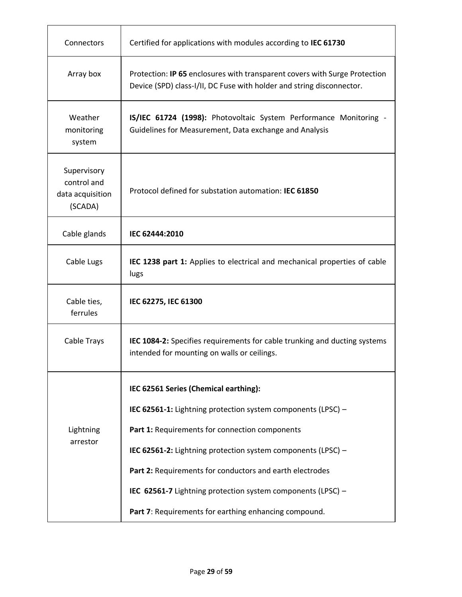| Connectors                                                | Certified for applications with modules according to IEC 61730                                                                                      |  |  |
|-----------------------------------------------------------|-----------------------------------------------------------------------------------------------------------------------------------------------------|--|--|
| Array box                                                 | Protection: IP 65 enclosures with transparent covers with Surge Protection<br>Device (SPD) class-I/II, DC Fuse with holder and string disconnector. |  |  |
| Weather<br>monitoring<br>system                           | IS/IEC 61724 (1998): Photovoltaic System Performance Monitoring -<br>Guidelines for Measurement, Data exchange and Analysis                         |  |  |
| Supervisory<br>control and<br>data acquisition<br>(SCADA) | Protocol defined for substation automation: IEC 61850                                                                                               |  |  |
| Cable glands                                              | IEC 62444:2010                                                                                                                                      |  |  |
| Cable Lugs                                                | IEC 1238 part 1: Applies to electrical and mechanical properties of cable<br>lugs                                                                   |  |  |
| Cable ties,<br>ferrules                                   | IEC 62275, IEC 61300                                                                                                                                |  |  |
| Cable Trays                                               | IEC 1084-2: Specifies requirements for cable trunking and ducting systems<br>intended for mounting on walls or ceilings.                            |  |  |
|                                                           | IEC 62561 Series (Chemical earthing):                                                                                                               |  |  |
|                                                           | IEC 62561-1: Lightning protection system components (LPSC) -                                                                                        |  |  |
| Lightning                                                 | Part 1: Requirements for connection components                                                                                                      |  |  |
| arrestor                                                  | IEC 62561-2: Lightning protection system components (LPSC) -                                                                                        |  |  |
|                                                           | Part 2: Requirements for conductors and earth electrodes                                                                                            |  |  |
|                                                           | IEC 62561-7 Lightning protection system components (LPSC) -                                                                                         |  |  |
|                                                           | Part 7: Requirements for earthing enhancing compound.                                                                                               |  |  |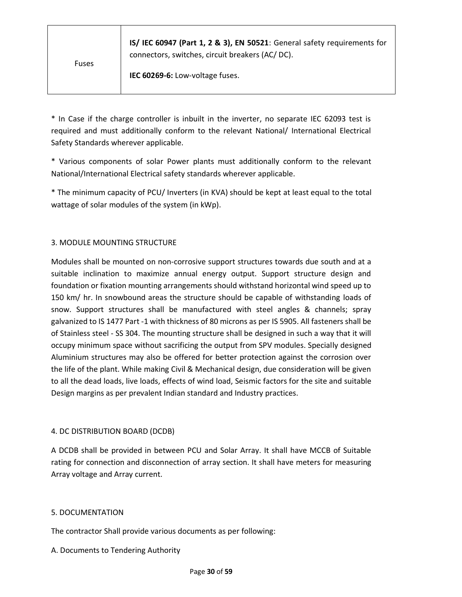| <b>Fuses</b> | IS/ IEC 60947 (Part 1, 2 & 3), EN 50521: General safety requirements for<br>connectors, switches, circuit breakers (AC/DC).<br>IEC 60269-6: Low-voltage fuses. |
|--------------|----------------------------------------------------------------------------------------------------------------------------------------------------------------|
|              |                                                                                                                                                                |

\* In Case if the charge controller is inbuilt in the inverter, no separate IEC 62093 test is required and must additionally conform to the relevant National/ International Electrical Safety Standards wherever applicable.

\* Various components of solar Power plants must additionally conform to the relevant National/International Electrical safety standards wherever applicable.

\* The minimum capacity of PCU/ Inverters (in KVA) should be kept at least equal to the total wattage of solar modules of the system (in kWp).

#### 3. MODULE MOUNTING STRUCTURE

Modules shall be mounted on non-corrosive support structures towards due south and at a suitable inclination to maximize annual energy output. Support structure design and foundation or fixation mounting arrangements should withstand horizontal wind speed up to 150 km/ hr. In snowbound areas the structure should be capable of withstanding loads of snow. Support structures shall be manufactured with steel angles & channels; spray galvanized to IS 1477 Part -1 with thickness of 80 microns as per IS 5905. All fasteners shall be of Stainless steel - SS 304. The mounting structure shall be designed in such a way that it will occupy minimum space without sacrificing the output from SPV modules. Specially designed Aluminium structures may also be offered for better protection against the corrosion over the life of the plant. While making Civil & Mechanical design, due consideration will be given to all the dead loads, live loads, effects of wind load, Seismic factors for the site and suitable Design margins as per prevalent Indian standard and Industry practices.

#### 4. DC DISTRIBUTION BOARD (DCDB)

A DCDB shall be provided in between PCU and Solar Array. It shall have MCCB of Suitable rating for connection and disconnection of array section. It shall have meters for measuring Array voltage and Array current.

#### 5. DOCUMENTATION

The contractor Shall provide various documents as per following:

#### A. Documents to Tendering Authority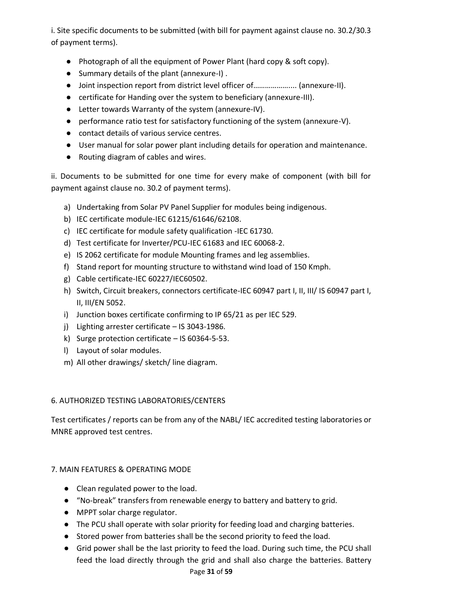i. Site specific documents to be submitted (with bill for payment against clause no. 30.2/30.3 of payment terms).

- Photograph of all the equipment of Power Plant (hard copy & soft copy).
- Summary details of the plant (annexure-I) .
- Joint inspection report from district level officer of……………….... (annexure-II).
- certificate for Handing over the system to beneficiary (annexure-III).
- Letter towards Warranty of the system (annexure-IV).
- performance ratio test for satisfactory functioning of the system (annexure-V).
- contact details of various service centres.
- User manual for solar power plant including details for operation and maintenance.
- Routing diagram of cables and wires.

ii. Documents to be submitted for one time for every make of component (with bill for payment against clause no. 30.2 of payment terms).

- a) Undertaking from Solar PV Panel Supplier for modules being indigenous.
- b) IEC certificate module-IEC 61215/61646/62108.
- c) IEC certificate for module safety qualification -IEC 61730.
- d) Test certificate for Inverter/PCU-IEC 61683 and IEC 60068-2.
- e) IS 2062 certificate for module Mounting frames and leg assemblies.
- f) Stand report for mounting structure to withstand wind load of 150 Kmph.
- g) Cable certificate-IEC 60227/IEC60502.
- h) Switch, Circuit breakers, connectors certificate-IEC 60947 part I, II, III/ IS 60947 part I, II, III/EN 5052.
- i) Junction boxes certificate confirming to IP 65/21 as per IEC 529.
- j) Lighting arrester certificate IS 3043-1986.
- k) Surge protection certificate IS 60364-5-53.
- l) Layout of solar modules.
- m) All other drawings/ sketch/ line diagram.

#### 6. AUTHORIZED TESTING LABORATORIES/CENTERS

Test certificates / reports can be from any of the NABL/ IEC accredited testing laboratories or MNRE approved test centres.

### 7. MAIN FEATURES & OPERATING MODE

- Clean regulated power to the load.
- "No-break" transfers from renewable energy to battery and battery to grid.
- MPPT solar charge regulator.
- The PCU shall operate with solar priority for feeding load and charging batteries.
- Stored power from batteries shall be the second priority to feed the load.
- Grid power shall be the last priority to feed the load. During such time, the PCU shall feed the load directly through the grid and shall also charge the batteries. Battery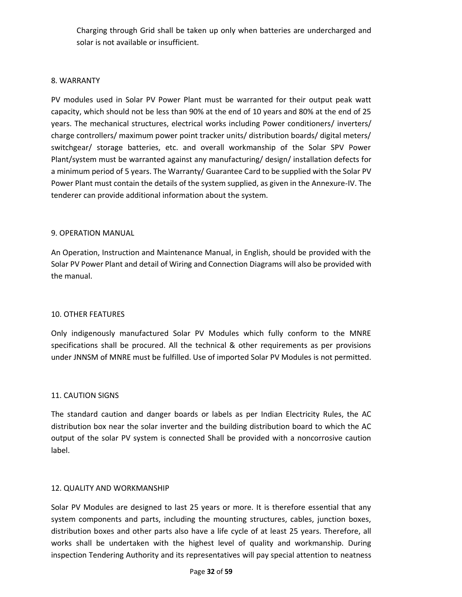Charging through Grid shall be taken up only when batteries are undercharged and solar is not available or insufficient.

#### 8. WARRANTY

PV modules used in Solar PV Power Plant must be warranted for their output peak watt capacity, which should not be less than 90% at the end of 10 years and 80% at the end of 25 years. The mechanical structures, electrical works including Power conditioners/ inverters/ charge controllers/ maximum power point tracker units/ distribution boards/ digital meters/ switchgear/ storage batteries, etc. and overall workmanship of the Solar SPV Power Plant/system must be warranted against any manufacturing/ design/ installation defects for a minimum period of 5 years. The Warranty/ Guarantee Card to be supplied with the Solar PV Power Plant must contain the details of the system supplied, as given in the Annexure-IV. The tenderer can provide additional information about the system.

#### 9. OPERATION MANUAL

An Operation, Instruction and Maintenance Manual, in English, should be provided with the Solar PV Power Plant and detail of Wiring and Connection Diagrams will also be provided with the manual.

#### 10. OTHER FEATURES

Only indigenously manufactured Solar PV Modules which fully conform to the MNRE specifications shall be procured. All the technical & other requirements as per provisions under JNNSM of MNRE must be fulfilled. Use of imported Solar PV Modules is not permitted.

#### 11. CAUTION SIGNS

The standard caution and danger boards or labels as per Indian Electricity Rules, the AC distribution box near the solar inverter and the building distribution board to which the AC output of the solar PV system is connected Shall be provided with a noncorrosive caution label.

#### 12. QUALITY AND WORKMANSHIP

Solar PV Modules are designed to last 25 years or more. It is therefore essential that any system components and parts, including the mounting structures, cables, junction boxes, distribution boxes and other parts also have a life cycle of at least 25 years. Therefore, all works shall be undertaken with the highest level of quality and workmanship. During inspection Tendering Authority and its representatives will pay special attention to neatness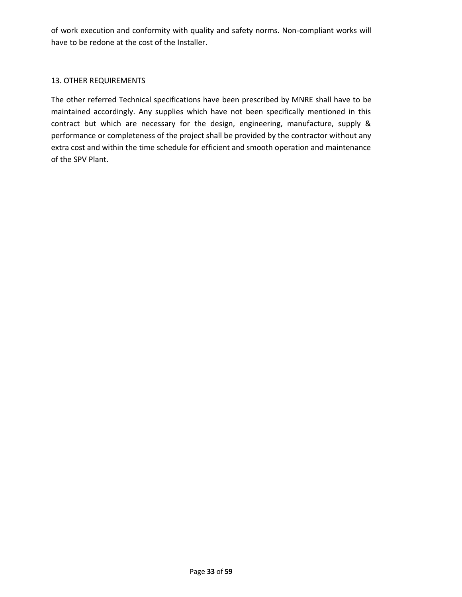of work execution and conformity with quality and safety norms. Non-compliant works will have to be redone at the cost of the Installer.

#### 13. OTHER REQUIREMENTS

The other referred Technical specifications have been prescribed by MNRE shall have to be maintained accordingly. Any supplies which have not been specifically mentioned in this contract but which are necessary for the design, engineering, manufacture, supply & performance or completeness of the project shall be provided by the contractor without any extra cost and within the time schedule for efficient and smooth operation and maintenance of the SPV Plant.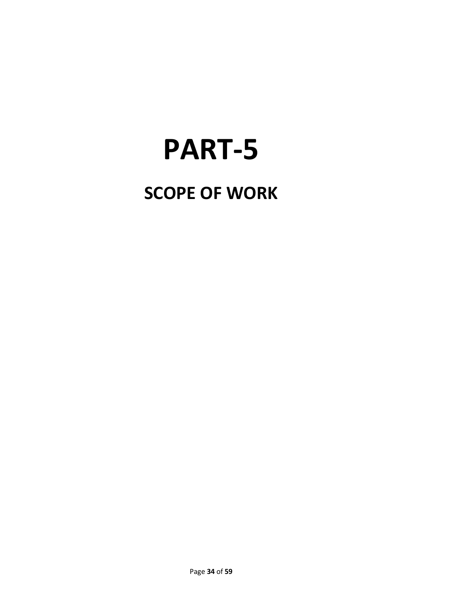# **PART-5**

# **SCOPE OF WORK**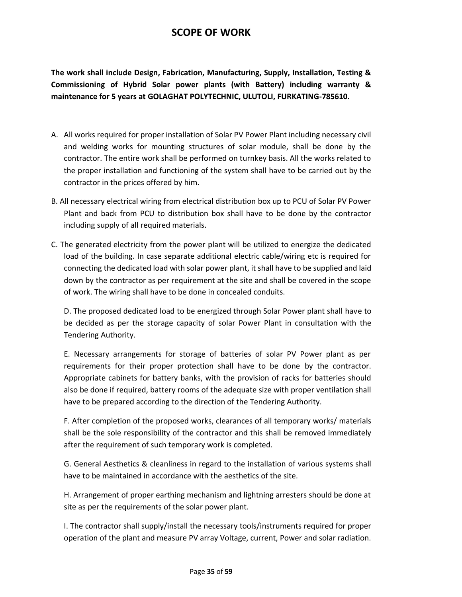# **SCOPE OF WORK**

**The work shall include Design, Fabrication, Manufacturing, Supply, Installation, Testing & Commissioning of Hybrid Solar power plants (with Battery) including warranty & maintenance for 5 years at GOLAGHAT POLYTECHNIC, ULUTOLI, FURKATING-785610.**

- A. All works required for proper installation of Solar PV Power Plant including necessary civil and welding works for mounting structures of solar module, shall be done by the contractor. The entire work shall be performed on turnkey basis. All the works related to the proper installation and functioning of the system shall have to be carried out by the contractor in the prices offered by him.
- B. All necessary electrical wiring from electrical distribution box up to PCU of Solar PV Power Plant and back from PCU to distribution box shall have to be done by the contractor including supply of all required materials.
- C. The generated electricity from the power plant will be utilized to energize the dedicated load of the building. In case separate additional electric cable/wiring etc is required for connecting the dedicated load with solar power plant, it shall have to be supplied and laid down by the contractor as per requirement at the site and shall be covered in the scope of work. The wiring shall have to be done in concealed conduits.

D. The proposed dedicated load to be energized through Solar Power plant shall have to be decided as per the storage capacity of solar Power Plant in consultation with the Tendering Authority.

E. Necessary arrangements for storage of batteries of solar PV Power plant as per requirements for their proper protection shall have to be done by the contractor. Appropriate cabinets for battery banks, with the provision of racks for batteries should also be done if required, battery rooms of the adequate size with proper ventilation shall have to be prepared according to the direction of the Tendering Authority.

F. After completion of the proposed works, clearances of all temporary works/ materials shall be the sole responsibility of the contractor and this shall be removed immediately after the requirement of such temporary work is completed.

G. General Aesthetics & cleanliness in regard to the installation of various systems shall have to be maintained in accordance with the aesthetics of the site.

H. Arrangement of proper earthing mechanism and lightning arresters should be done at site as per the requirements of the solar power plant.

I. The contractor shall supply/install the necessary tools/instruments required for proper operation of the plant and measure PV array Voltage, current, Power and solar radiation.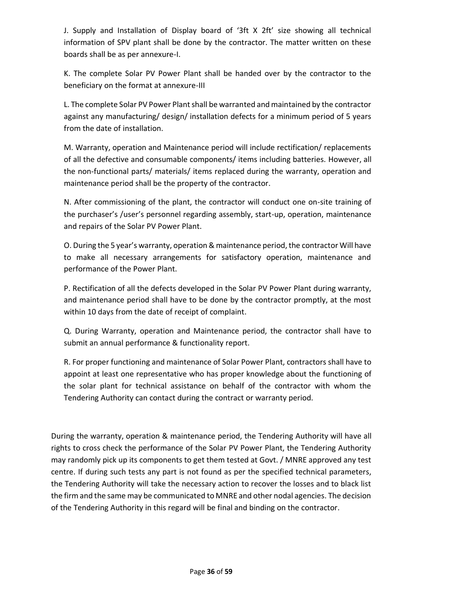J. Supply and Installation of Display board of '3ft X 2ft' size showing all technical information of SPV plant shall be done by the contractor. The matter written on these boards shall be as per annexure-I.

K. The complete Solar PV Power Plant shall be handed over by the contractor to the beneficiary on the format at annexure-III

L. The complete Solar PV Power Plant shall be warranted and maintained by the contractor against any manufacturing/ design/ installation defects for a minimum period of 5 years from the date of installation.

M. Warranty, operation and Maintenance period will include rectification/ replacements of all the defective and consumable components/ items including batteries. However, all the non-functional parts/ materials/ items replaced during the warranty, operation and maintenance period shall be the property of the contractor.

N. After commissioning of the plant, the contractor will conduct one on-site training of the purchaser's /user's personnel regarding assembly, start-up, operation, maintenance and repairs of the Solar PV Power Plant.

O. During the 5 year's warranty, operation & maintenance period, the contractor Will have to make all necessary arrangements for satisfactory operation, maintenance and performance of the Power Plant.

P. Rectification of all the defects developed in the Solar PV Power Plant during warranty, and maintenance period shall have to be done by the contractor promptly, at the most within 10 days from the date of receipt of complaint.

Q. During Warranty, operation and Maintenance period, the contractor shall have to submit an annual performance & functionality report.

R. For proper functioning and maintenance of Solar Power Plant, contractors shall have to appoint at least one representative who has proper knowledge about the functioning of the solar plant for technical assistance on behalf of the contractor with whom the Tendering Authority can contact during the contract or warranty period.

During the warranty, operation & maintenance period, the Tendering Authority will have all rights to cross check the performance of the Solar PV Power Plant, the Tendering Authority may randomly pick up its components to get them tested at Govt. / MNRE approved any test centre. If during such tests any part is not found as per the specified technical parameters, the Tendering Authority will take the necessary action to recover the losses and to black list the firm and the same may be communicated to MNRE and other nodal agencies. The decision of the Tendering Authority in this regard will be final and binding on the contractor.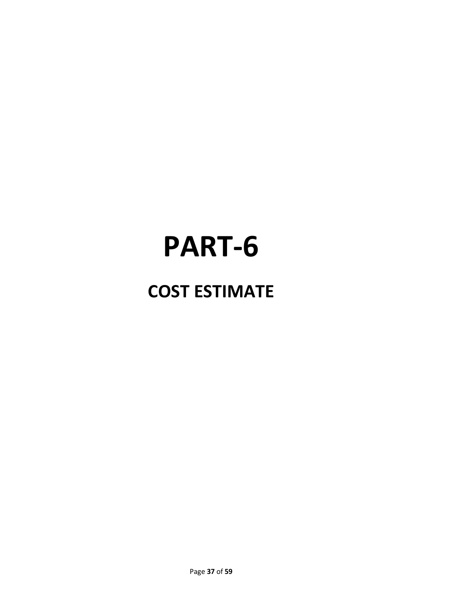# **PART-6**

# **COST ESTIMATE**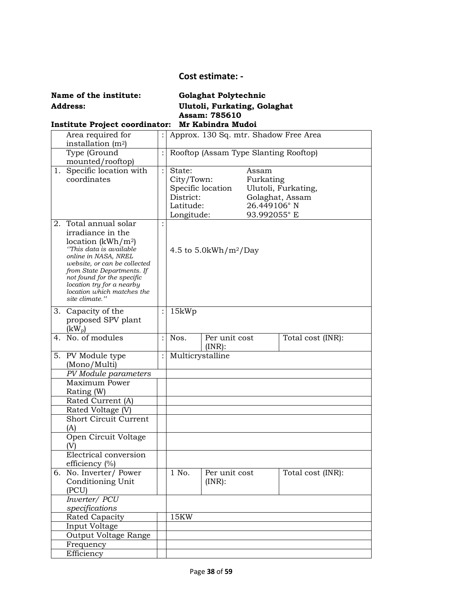#### **Cost estimate: -**

**Name of the institute: Golaghat Polytechnic Address: Ulutoli, Furkating, Golaghat Assam: 785610**

# **Institute Project coordinator: Mr Kabindra Mudoi**

|    | Area required for                                                                                                                                                                                                                                                                          |                | Approx. 130 Sq. mtr. Shadow Free Area                        |                                       |                                                   |                                        |
|----|--------------------------------------------------------------------------------------------------------------------------------------------------------------------------------------------------------------------------------------------------------------------------------------------|----------------|--------------------------------------------------------------|---------------------------------------|---------------------------------------------------|----------------------------------------|
|    | installation (m <sup>2</sup> )<br>Type (Ground                                                                                                                                                                                                                                             |                |                                                              | Rooftop (Assam Type Slanting Rooftop) |                                                   |                                        |
|    | mounted/rooftop)                                                                                                                                                                                                                                                                           |                |                                                              |                                       |                                                   |                                        |
|    | 1. Specific location with<br>coordinates                                                                                                                                                                                                                                                   | $\vdots$       | State:<br>City/Town:<br>District:<br>Latitude:<br>Longitude: | Specific location                     | Assam<br>Furkating<br>26.449106°N<br>93.992055° E | Ulutoli, Furkating,<br>Golaghat, Assam |
| 2. | Total annual solar<br>irradiance in the<br>location $(kWh/m2)$<br>"This data is available<br>online in NASA, NREL<br>website, or can be collected<br>from State Departments. If<br>not found for the specific<br>location try for a nearby<br>location which matches the<br>site climate." |                |                                                              | 4.5 to 5.0kWh/m <sup>2</sup> /Day     |                                                   |                                        |
|    | 3. Capacity of the<br>proposed SPV plant<br>$(kW_p)$                                                                                                                                                                                                                                       |                | 15kWp                                                        |                                       |                                                   |                                        |
|    | 4. No. of modules                                                                                                                                                                                                                                                                          | $\ddot{\cdot}$ | Nos.                                                         | Per unit cost<br>$(INR)$ :            |                                                   | Total cost (INR):                      |
|    | 5. PV Module type<br>(Mono/Multi)                                                                                                                                                                                                                                                          |                | Multicrystalline                                             |                                       |                                                   |                                        |
|    | PV Module parameters                                                                                                                                                                                                                                                                       |                |                                                              |                                       |                                                   |                                        |
|    | Maximum Power<br>Rating (W)                                                                                                                                                                                                                                                                |                |                                                              |                                       |                                                   |                                        |
|    | Rated Current (A)                                                                                                                                                                                                                                                                          |                |                                                              |                                       |                                                   |                                        |
|    | Rated Voltage (V)                                                                                                                                                                                                                                                                          |                |                                                              |                                       |                                                   |                                        |
|    | <b>Short Circuit Current</b><br>(A)                                                                                                                                                                                                                                                        |                |                                                              |                                       |                                                   |                                        |
|    | Open Circuit Voltage<br>(V)                                                                                                                                                                                                                                                                |                |                                                              |                                       |                                                   |                                        |
|    | Electrical conversion<br>efficiency $(\%)$                                                                                                                                                                                                                                                 |                |                                                              |                                       |                                                   |                                        |
|    | 6. No. Inverter/ Power<br>Conditioning Unit<br>(PCU)                                                                                                                                                                                                                                       |                | 1 No.                                                        | Per unit cost<br>$(INR)$ :            |                                                   | Total cost (INR):                      |
|    | Inverter/ PCU<br>specifications                                                                                                                                                                                                                                                            |                |                                                              |                                       |                                                   |                                        |
|    | Rated Capacity                                                                                                                                                                                                                                                                             |                | 15KW                                                         |                                       |                                                   |                                        |
|    | Input Voltage                                                                                                                                                                                                                                                                              |                |                                                              |                                       |                                                   |                                        |
|    | <b>Output Voltage Range</b>                                                                                                                                                                                                                                                                |                |                                                              |                                       |                                                   |                                        |
|    | Frequency                                                                                                                                                                                                                                                                                  |                |                                                              |                                       |                                                   |                                        |
|    | Efficiency                                                                                                                                                                                                                                                                                 |                |                                                              |                                       |                                                   |                                        |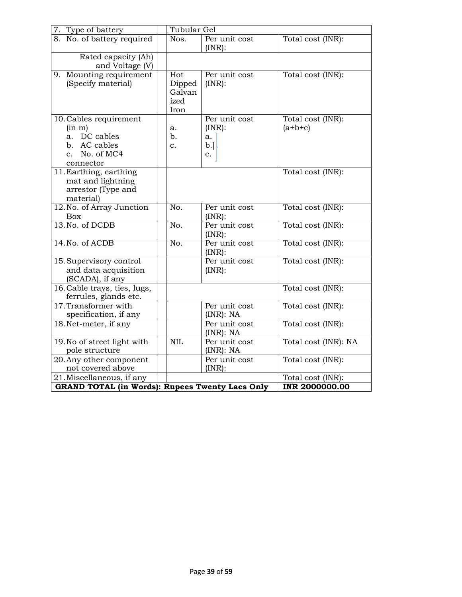| 7. Type of battery                                                                             | Tubular Gel                             |                                           |                                |  |  |
|------------------------------------------------------------------------------------------------|-----------------------------------------|-------------------------------------------|--------------------------------|--|--|
| 8. No. of battery required                                                                     | Nos.                                    | Per unit cost<br>$(INR)$ :                | Total cost (INR):              |  |  |
| Rated capacity (Ah)<br>and Voltage (V)                                                         |                                         |                                           |                                |  |  |
| 9. Mounting requirement<br>(Specify material)                                                  | Hot<br>Dipped<br>Galvan<br>ized<br>Iron | Per unit cost<br>(INR):                   | Total cost (INR):              |  |  |
| 10. Cables requirement<br>(in m)<br>a. DC cables<br>b. AC cables<br>c. No. of MC4<br>connector | a.<br>b.<br>$\mathbf{c}$ .              | Per unit cost<br>(INR):<br>a.<br>b.<br>c. | Total cost (INR):<br>$(a+b+c)$ |  |  |
| 11. Earthing, earthing<br>mat and lightning<br>arrestor (Type and<br>material)                 |                                         |                                           | Total cost (INR):              |  |  |
| 12. No. of Array Junction<br>Box                                                               | No.                                     | Per unit cost<br>(INR):                   | Total cost (INR):              |  |  |
| 13. No. of DCDB                                                                                | No.                                     | Per unit cost<br>$(INR)$ :                | Total cost (INR):              |  |  |
| 14. No. of ACDB                                                                                | No.                                     | Per unit cost<br>$(INR)$ :                | Total cost (INR):              |  |  |
| 15. Supervisory control<br>and data acquisition<br>(SCADA), if any                             |                                         | Per unit cost<br>(INR):                   | Total cost (INR):              |  |  |
| 16. Cable trays, ties, lugs,<br>ferrules, glands etc.                                          |                                         |                                           | Total cost (INR):              |  |  |
| 17. Transformer with<br>specification, if any                                                  |                                         | Per unit cost<br>(INR): NA                | Total cost (INR):              |  |  |
| 18. Net-meter, if any                                                                          |                                         | Per unit cost<br>(INR): NA                | Total cost (INR):              |  |  |
| 19. No of street light with<br>pole structure                                                  | <b>NIL</b>                              | Per unit cost<br>$(INR)$ : NA             | Total cost (INR): NA           |  |  |
| 20. Any other component<br>not covered above                                                   |                                         | Per unit cost<br>$(INR)$ :                | Total cost (INR):              |  |  |
| $\overline{21}$ . Miscellaneous, if any                                                        |                                         |                                           | Total cost (INR):              |  |  |
| <b>GRAND TOTAL (in Words): Rupees Twenty Lacs Only</b>                                         | <b>INR 2000000.00</b>                   |                                           |                                |  |  |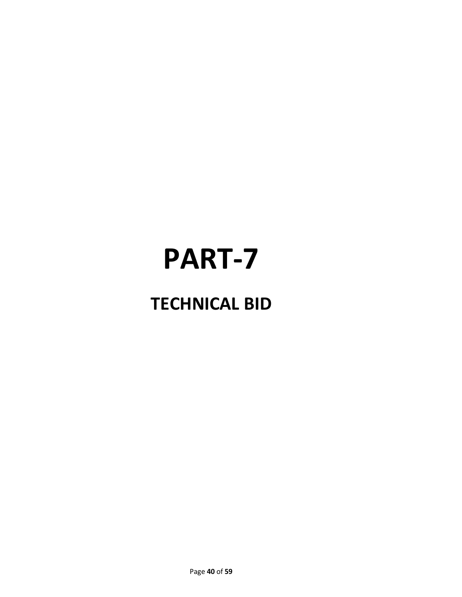# **PART-7**

# **TECHNICAL BID**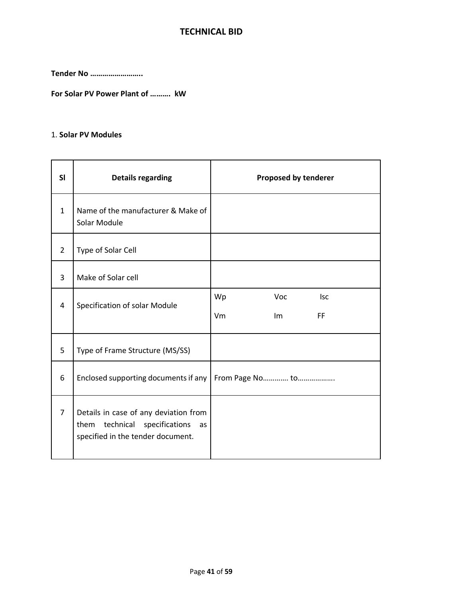## **TECHNICAL BID**

**Tender No ……………………..**

**For Solar PV Power Plant of ………. kW**

#### 1. **Solar PV Modules**

| <b>SI</b>      | <b>Details regarding</b>                                                                                             | Proposed by tenderer                      |
|----------------|----------------------------------------------------------------------------------------------------------------------|-------------------------------------------|
| $\mathbf{1}$   | Name of the manufacturer & Make of<br>Solar Module                                                                   |                                           |
| $\overline{2}$ | Type of Solar Cell                                                                                                   |                                           |
| 3              | Make of Solar cell                                                                                                   |                                           |
| 4              | Specification of solar Module                                                                                        | Wp<br>Voc<br><b>Isc</b><br>Vm<br>FF<br>Im |
| 5              | Type of Frame Structure (MS/SS)                                                                                      |                                           |
| 6              | Enclosed supporting documents if any                                                                                 |                                           |
| $\overline{7}$ | Details in case of any deviation from<br>technical specifications<br>them<br>as<br>specified in the tender document. |                                           |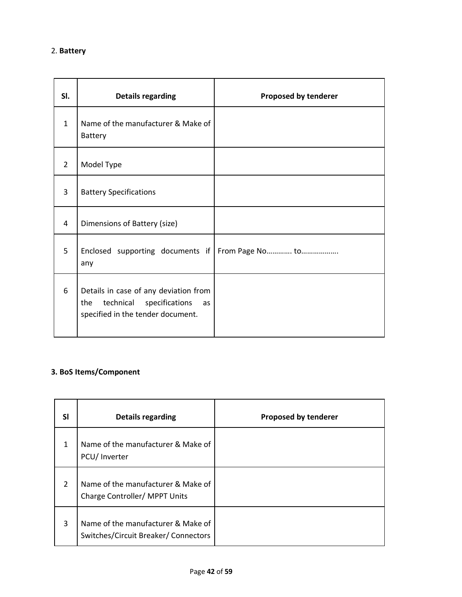| SI.            | <b>Details regarding</b>                                                                                               | Proposed by tenderer |
|----------------|------------------------------------------------------------------------------------------------------------------------|----------------------|
| $\mathbf{1}$   | Name of the manufacturer & Make of<br>Battery                                                                          |                      |
| $\overline{2}$ | Model Type                                                                                                             |                      |
| 3              | <b>Battery Specifications</b>                                                                                          |                      |
| 4              | Dimensions of Battery (size)                                                                                           |                      |
| 5              | Enclosed supporting documents if<br>any                                                                                |                      |
| 6              | Details in case of any deviation from<br>technical<br>specifications<br>the<br>as<br>specified in the tender document. |                      |

# **3. BoS Items/Component**

| <b>SI</b>     | <b>Details regarding</b>                                                   | Proposed by tenderer |
|---------------|----------------------------------------------------------------------------|----------------------|
| 1             | Name of the manufacturer & Make of<br>PCU/ Inverter                        |                      |
| $\mathcal{P}$ | Name of the manufacturer & Make of<br>Charge Controller/ MPPT Units        |                      |
| 3             | Name of the manufacturer & Make of<br>Switches/Circuit Breaker/ Connectors |                      |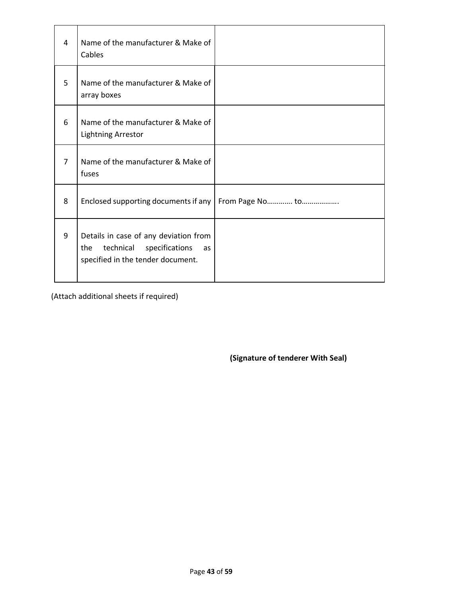| 4 | Name of the manufacturer & Make of<br>Cables                                                                           |  |
|---|------------------------------------------------------------------------------------------------------------------------|--|
| 5 | Name of the manufacturer & Make of<br>array boxes                                                                      |  |
| 6 | Name of the manufacturer & Make of<br><b>Lightning Arrestor</b>                                                        |  |
| 7 | Name of the manufacturer & Make of<br>fuses                                                                            |  |
| 8 | Enclosed supporting documents if any   From Page No to                                                                 |  |
| 9 | Details in case of any deviation from<br>technical<br>specifications<br>the<br>as<br>specified in the tender document. |  |

(Attach additional sheets if required)

**(Signature of tenderer With Seal)**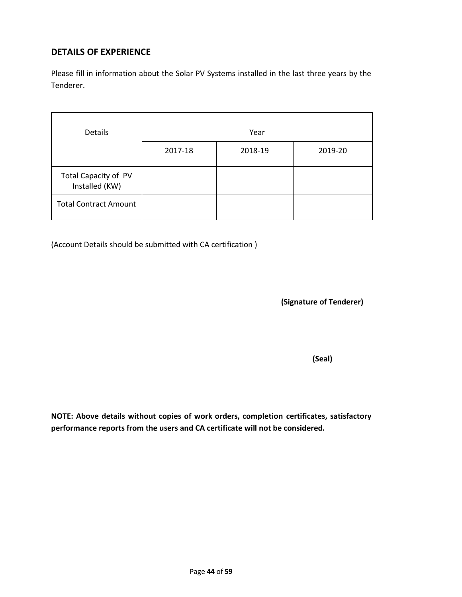## **DETAILS OF EXPERIENCE**

Please fill in information about the Solar PV Systems installed in the last three years by the Tenderer.

| Details                                | Year    |         |         |  |
|----------------------------------------|---------|---------|---------|--|
|                                        | 2017-18 | 2018-19 | 2019-20 |  |
| Total Capacity of PV<br>Installed (KW) |         |         |         |  |
| <b>Total Contract Amount</b>           |         |         |         |  |

(Account Details should be submitted with CA certification )

**(Signature of Tenderer)**

 **(Seal)**

**NOTE: Above details without copies of work orders, completion certificates, satisfactory performance reports from the users and CA certificate will not be considered.**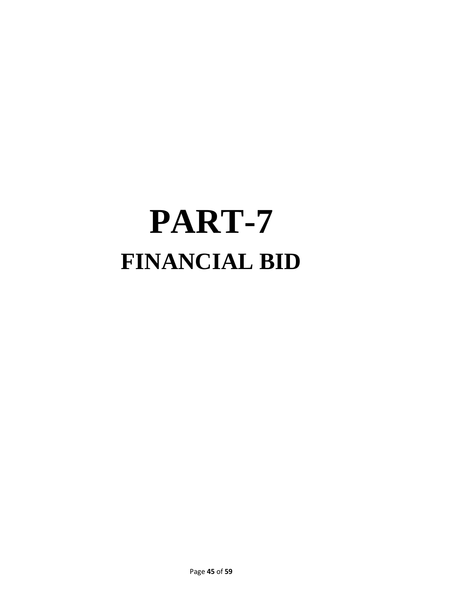# **PART-7 FINANCIAL BID**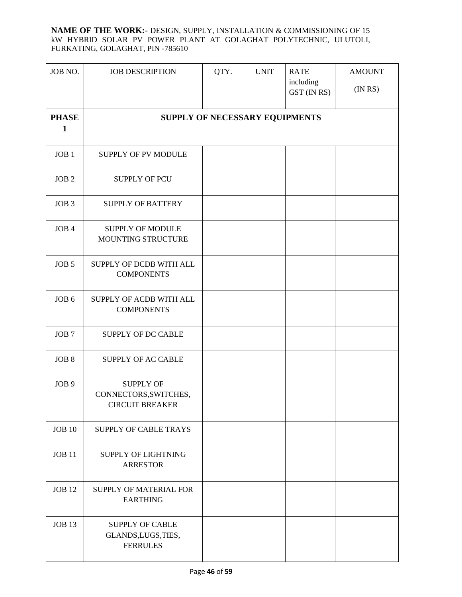#### **NAME OF THE WORK:-** DESIGN, SUPPLY, INSTALLATION & COMMISSIONING OF 15 kW HYBRID SOLAR PV POWER PLANT AT GOLAGHAT POLYTECHNIC, ULUTOLI, FURKATING, GOLAGHAT, PIN -785610

| JOB NO.                      | <b>JOB DESCRIPTION</b>                                              | QTY. | <b>UNIT</b> | <b>RATE</b><br>including<br>GST (IN RS) | <b>AMOUNT</b><br>(INRS) |
|------------------------------|---------------------------------------------------------------------|------|-------------|-----------------------------------------|-------------------------|
| <b>PHASE</b><br>$\mathbf{1}$ | SUPPLY OF NECESSARY EQUIPMENTS                                      |      |             |                                         |                         |
| JOB <sub>1</sub>             | <b>SUPPLY OF PV MODULE</b>                                          |      |             |                                         |                         |
| JOB <sub>2</sub>             | <b>SUPPLY OF PCU</b>                                                |      |             |                                         |                         |
| JOB <sub>3</sub>             | <b>SUPPLY OF BATTERY</b>                                            |      |             |                                         |                         |
| JOB <sub>4</sub>             | <b>SUPPLY OF MODULE</b><br>MOUNTING STRUCTURE                       |      |             |                                         |                         |
| JOB <sub>5</sub>             | SUPPLY OF DCDB WITH ALL<br><b>COMPONENTS</b>                        |      |             |                                         |                         |
| JOB <sub>6</sub>             | SUPPLY OF ACDB WITH ALL<br><b>COMPONENTS</b>                        |      |             |                                         |                         |
| JOB <sub>7</sub>             | <b>SUPPLY OF DC CABLE</b>                                           |      |             |                                         |                         |
| JOB <sub>8</sub>             | <b>SUPPLY OF AC CABLE</b>                                           |      |             |                                         |                         |
| JOB <sub>9</sub>             | <b>SUPPLY OF</b><br>CONNECTORS, SWITCHES,<br><b>CIRCUIT BREAKER</b> |      |             |                                         |                         |
| <b>JOB 10</b>                | SUPPLY OF CABLE TRAYS                                               |      |             |                                         |                         |
| <b>JOB 11</b>                | <b>SUPPLY OF LIGHTNING</b><br><b>ARRESTOR</b>                       |      |             |                                         |                         |
| <b>JOB 12</b>                | <b>SUPPLY OF MATERIAL FOR</b><br><b>EARTHING</b>                    |      |             |                                         |                         |
| <b>JOB 13</b>                | <b>SUPPLY OF CABLE</b><br>GLANDS, LUGS, TIES,<br><b>FERRULES</b>    |      |             |                                         |                         |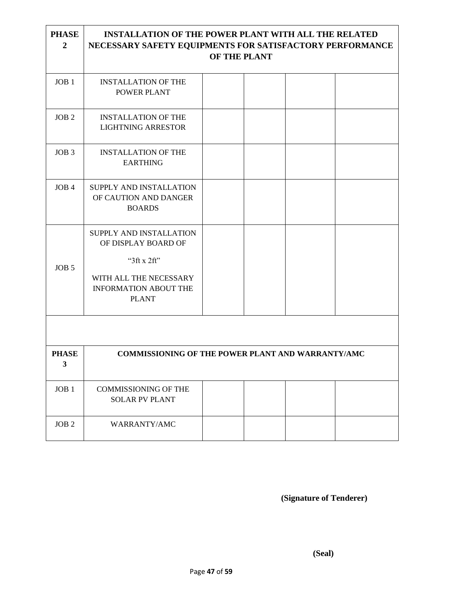| <b>PHASE</b><br>$\overline{2}$ | <b>INSTALLATION OF THE POWER PLANT WITH ALL THE RELATED</b><br>NECESSARY SAFETY EQUIPMENTS FOR SATISFACTORY PERFORMANCE | OF THE PLANT |  |  |
|--------------------------------|-------------------------------------------------------------------------------------------------------------------------|--------------|--|--|
| JOB <sub>1</sub>               | <b>INSTALLATION OF THE</b><br>POWER PLANT                                                                               |              |  |  |
| JOB <sub>2</sub>               | <b>INSTALLATION OF THE</b><br><b>LIGHTNING ARRESTOR</b>                                                                 |              |  |  |
| JOB <sub>3</sub>               | <b>INSTALLATION OF THE</b><br><b>EARTHING</b>                                                                           |              |  |  |
| JOB <sub>4</sub>               | SUPPLY AND INSTALLATION<br>OF CAUTION AND DANGER<br><b>BOARDS</b>                                                       |              |  |  |
|                                | SUPPLY AND INSTALLATION<br>OF DISPLAY BOARD OF<br>" $3$ ft x $2$ ft"                                                    |              |  |  |
| JOB <sub>5</sub>               | WITH ALL THE NECESSARY<br><b>INFORMATION ABOUT THE</b><br><b>PLANT</b>                                                  |              |  |  |
|                                |                                                                                                                         |              |  |  |
| <b>PHASE</b><br>3              | <b>COMMISSIONING OF THE POWER PLANT AND WARRANTY/AMC</b>                                                                |              |  |  |
| JOB <sub>1</sub>               | <b>COMMISSIONING OF THE</b><br><b>SOLAR PV PLANT</b>                                                                    |              |  |  |
| JOB <sub>2</sub>               | WARRANTY/AMC                                                                                                            |              |  |  |

**(Signature of Tenderer)**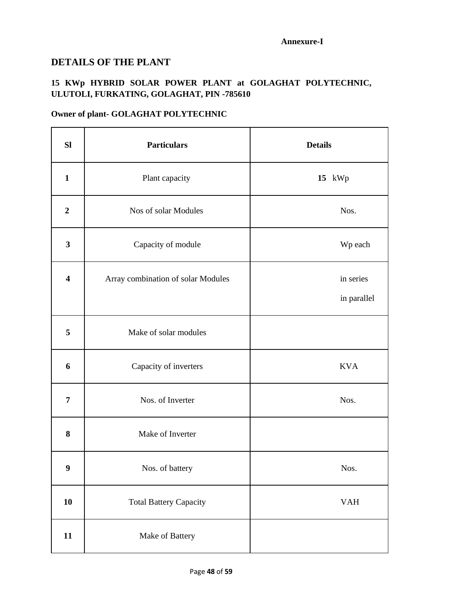#### **Annexure-I**

### **DETAILS OF THE PLANT**

# **15 KWp HYBRID SOLAR POWER PLANT at GOLAGHAT POLYTECHNIC, ULUTOLI, FURKATING, GOLAGHAT, PIN -785610**

# **Owner of plant- GOLAGHAT POLYTECHNIC**

| <b>SI</b>               | <b>Particulars</b>                 | <b>Details</b>           |
|-------------------------|------------------------------------|--------------------------|
| $\mathbf{1}$            | Plant capacity                     | 15 kWp                   |
| $\boldsymbol{2}$        | Nos of solar Modules               | Nos.                     |
| $\mathbf{3}$            | Capacity of module                 | Wp each                  |
| $\overline{\mathbf{4}}$ | Array combination of solar Modules | in series<br>in parallel |
| 5                       | Make of solar modules              |                          |
| 6                       | Capacity of inverters              | <b>KVA</b>               |
| $\overline{7}$          | Nos. of Inverter                   | Nos.                     |
| 8                       | Make of Inverter                   |                          |
| 9                       | Nos. of battery                    | Nos.                     |
| 10                      | <b>Total Battery Capacity</b>      | <b>VAH</b>               |
| 11                      | Make of Battery                    |                          |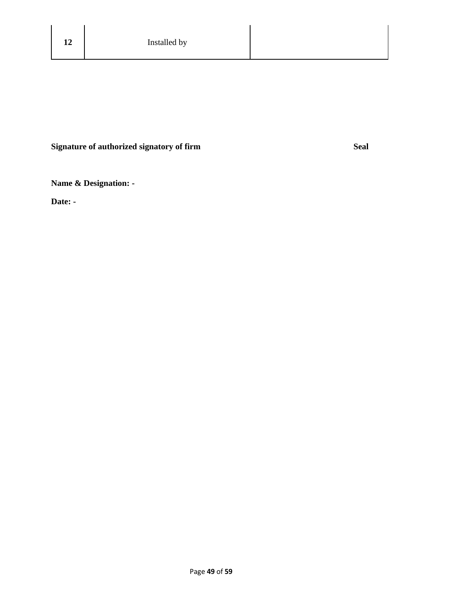# **Signature of authorized signatory of firm Seal**

**Name & Designation: -**

**Date: -**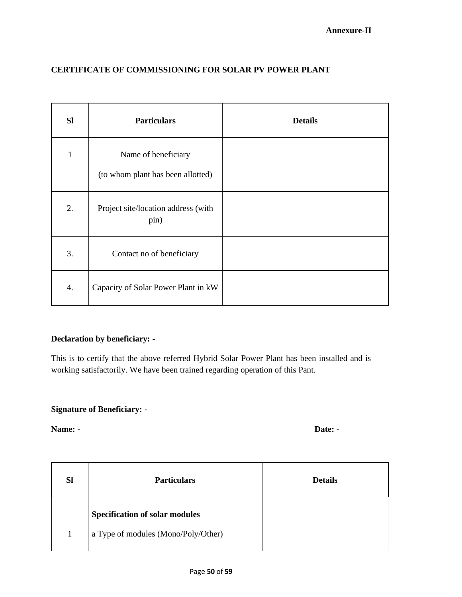| <b>CERTIFICATE OF COMMISSIONING FOR SOLAR PV POWER PLANT</b> |  |
|--------------------------------------------------------------|--|
|--------------------------------------------------------------|--|

| <b>SI</b>    | <b>Particulars</b>                                       | <b>Details</b> |
|--------------|----------------------------------------------------------|----------------|
| $\mathbf{1}$ | Name of beneficiary<br>(to whom plant has been allotted) |                |
| 2.           | Project site/location address (with<br>pin)              |                |
| 3.           | Contact no of beneficiary                                |                |
| 4.           | Capacity of Solar Power Plant in kW                      |                |

## **Declaration by beneficiary: -**

This is to certify that the above referred Hybrid Solar Power Plant has been installed and is working satisfactorily. We have been trained regarding operation of this Pant.

## **Signature of Beneficiary: -**

**Name:** - Date: -

| <b>Sl</b> | <b>Particulars</b>                                                           | <b>Details</b> |
|-----------|------------------------------------------------------------------------------|----------------|
|           | <b>Specification of solar modules</b><br>a Type of modules (Mono/Poly/Other) |                |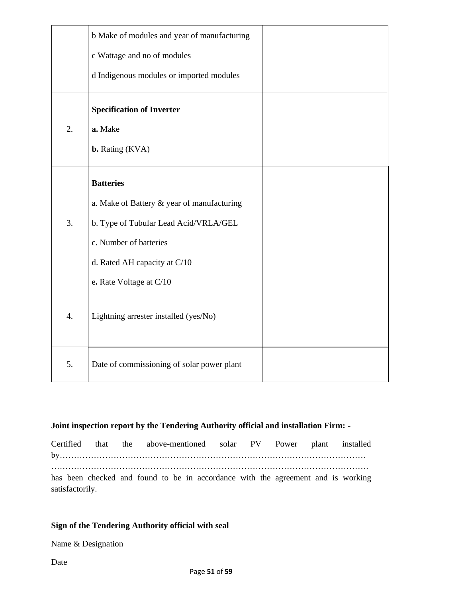|    | b Make of modules and year of manufacturing |  |
|----|---------------------------------------------|--|
|    | c Wattage and no of modules                 |  |
|    | d Indigenous modules or imported modules    |  |
|    | <b>Specification of Inverter</b>            |  |
| 2. | a. Make                                     |  |
|    | <b>b.</b> Rating (KVA)                      |  |
|    | <b>Batteries</b>                            |  |
|    | a. Make of Battery & year of manufacturing  |  |
| 3. | b. Type of Tubular Lead Acid/VRLA/GEL       |  |
|    | c. Number of batteries                      |  |
|    | d. Rated AH capacity at C/10                |  |
|    | e. Rate Voltage at C/10                     |  |
| 4. | Lightning arrester installed (yes/No)       |  |
| 5. | Date of commissioning of solar power plant  |  |

#### **Joint inspection report by the Tendering Authority official and installation Firm: -**

Certified that the above-mentioned solar PV Power plant installed by……………………………………………………………………………………………… …………………………………………………………………………………………………. has been checked and found to be in accordance with the agreement and is working satisfactorily.

#### **Sign of the Tendering Authority official with seal**

Name & Designation

Date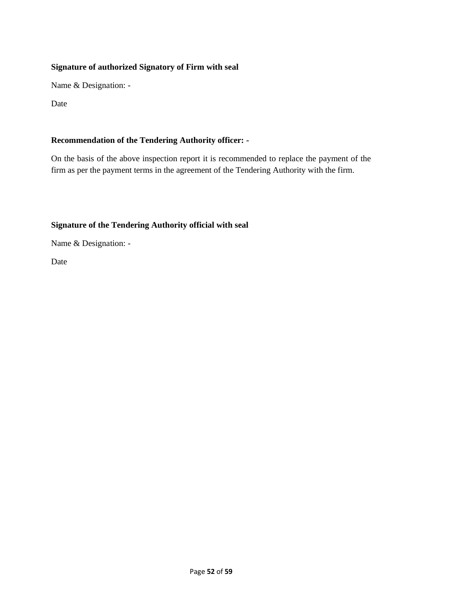### **Signature of authorized Signatory of Firm with seal**

Name & Designation: -

Date

### **Recommendation of the Tendering Authority officer: -**

On the basis of the above inspection report it is recommended to replace the payment of the firm as per the payment terms in the agreement of the Tendering Authority with the firm.

### **Signature of the Tendering Authority official with seal**

Name & Designation: -

Date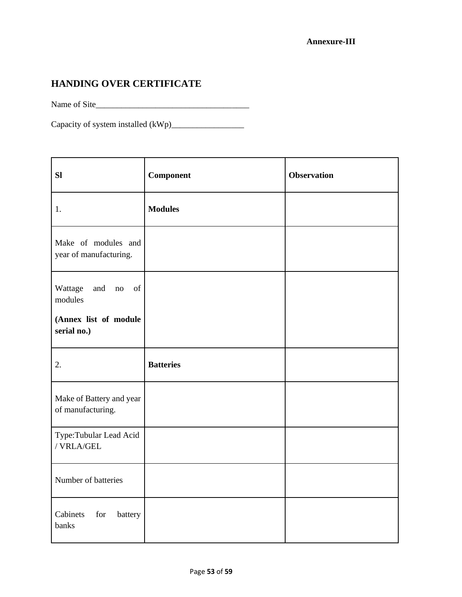# **HANDING OVER CERTIFICATE**

Name of Site\_\_\_\_\_\_\_\_\_\_\_\_\_\_\_\_\_\_\_\_\_\_\_\_\_\_\_\_\_\_\_\_\_\_\_\_

Capacity of system installed (kWp)\_\_\_\_\_\_\_\_\_\_\_\_\_\_\_\_\_

| <b>SI</b>                                                                                                                          | Component        | <b>Observation</b> |
|------------------------------------------------------------------------------------------------------------------------------------|------------------|--------------------|
| 1.                                                                                                                                 | <b>Modules</b>   |                    |
| Make of modules and<br>year of manufacturing.                                                                                      |                  |                    |
| Wattage<br>$% \left( \left( \mathcal{A},\mathcal{A}\right) \right) =\left( \mathcal{A},\mathcal{A}\right)$ of<br>and no<br>modules |                  |                    |
| (Annex list of module<br>serial no.)                                                                                               |                  |                    |
| 2.                                                                                                                                 | <b>Batteries</b> |                    |
| Make of Battery and year<br>of manufacturing.                                                                                      |                  |                    |
| Type:Tubular Lead Acid<br>/ VRLA/GEL                                                                                               |                  |                    |
| Number of batteries                                                                                                                |                  |                    |
| Cabinets<br>for<br>battery<br>banks                                                                                                |                  |                    |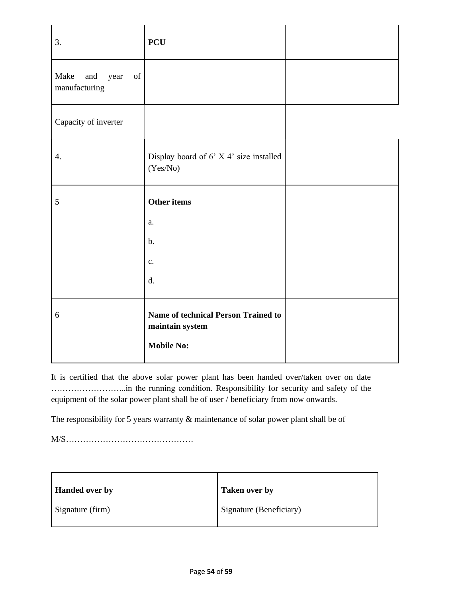| 3.                                                                                                                                         | <b>PCU</b>                                                                  |  |
|--------------------------------------------------------------------------------------------------------------------------------------------|-----------------------------------------------------------------------------|--|
| Make<br>$% \left( \left( \mathcal{A},\mathcal{A}\right) \right) =\left( \mathcal{A},\mathcal{A}\right)$ of<br>and<br>year<br>manufacturing |                                                                             |  |
| Capacity of inverter                                                                                                                       |                                                                             |  |
| 4.                                                                                                                                         | Display board of 6' X 4' size installed<br>(Yes/No)                         |  |
| 5                                                                                                                                          | Other items                                                                 |  |
|                                                                                                                                            | a.                                                                          |  |
|                                                                                                                                            | $\mathbf b$ .                                                               |  |
|                                                                                                                                            | $\mathbf{c}$ .                                                              |  |
|                                                                                                                                            | d.                                                                          |  |
| 6                                                                                                                                          | Name of technical Person Trained to<br>maintain system<br><b>Mobile No:</b> |  |

It is certified that the above solar power plant has been handed over/taken over on date ……………………...in the running condition. Responsibility for security and safety of the equipment of the solar power plant shall be of user / beneficiary from now onwards.

The responsibility for 5 years warranty & maintenance of solar power plant shall be of

M/S………………………………………

| <b>Handed over by</b> | <b>Taken over by</b>    |
|-----------------------|-------------------------|
| Signature (firm)      | Signature (Beneficiary) |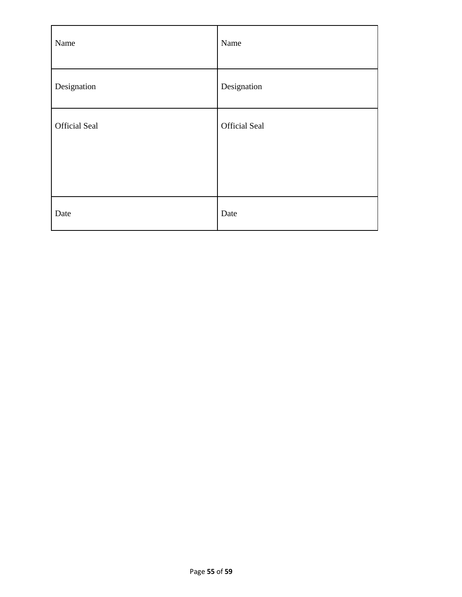| Name                 | Name          |
|----------------------|---------------|
| Designation          | Designation   |
| <b>Official Seal</b> | Official Seal |
| Date                 | Date          |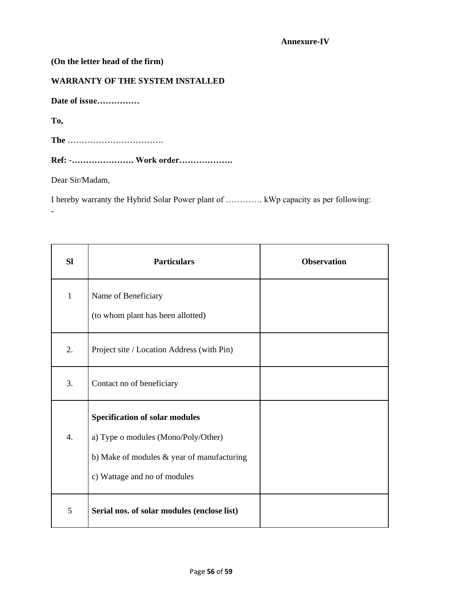#### **Annexure-IV**

| (On the letter head of the firm)        |
|-----------------------------------------|
| <b>WARRANTY OF THE SYSTEM INSTALLED</b> |
| Date of issue                           |
| To,                                     |
| The                                     |
| Ref: - Work order                       |
| Dear Sir/Madam,                         |
|                                         |

I hereby warranty the Hybrid Solar Power plant of …………. kWp capacity as per following: -

| <b>Sl</b>        | <b>Particulars</b>                                                                                                                                         | <b>Observation</b> |
|------------------|------------------------------------------------------------------------------------------------------------------------------------------------------------|--------------------|
| $\mathbf{1}$     | Name of Beneficiary<br>(to whom plant has been allotted)                                                                                                   |                    |
| 2.               | Project site / Location Address (with Pin)                                                                                                                 |                    |
| 3.               | Contact no of beneficiary                                                                                                                                  |                    |
| $\overline{4}$ . | <b>Specification of solar modules</b><br>a) Type o modules (Mono/Poly/Other)<br>b) Make of modules & year of manufacturing<br>c) Wattage and no of modules |                    |
| 5                | Serial nos. of solar modules (enclose list)                                                                                                                |                    |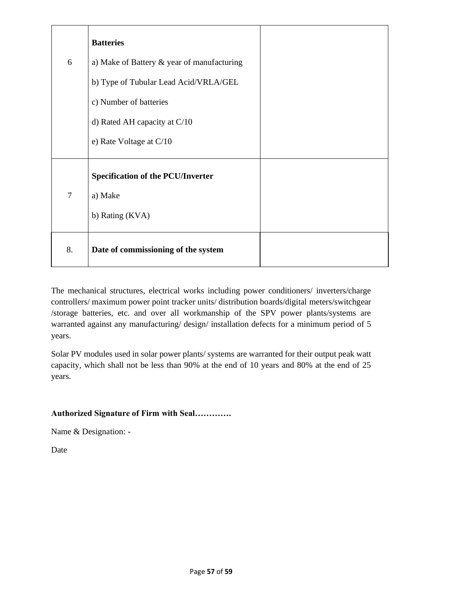|                | <b>Batteries</b>                           |  |
|----------------|--------------------------------------------|--|
| 6              | a) Make of Battery & year of manufacturing |  |
|                | b) Type of Tubular Lead Acid/VRLA/GEL      |  |
|                | c) Number of batteries                     |  |
|                | d) Rated AH capacity at $C/10$             |  |
|                | e) Rate Voltage at $C/10$                  |  |
|                | <b>Specification of the PCU/Inverter</b>   |  |
| $\overline{7}$ | a) Make                                    |  |
|                | b) Rating (KVA)                            |  |
| 8.             | Date of commissioning of the system        |  |

The mechanical structures, electrical works including power conditioners/ inverters/charge controllers/ maximum power point tracker units/ distribution boards/digital meters/switchgear /storage batteries, etc. and over all workmanship of the SPV power plants/systems are warranted against any manufacturing/ design/ installation defects for a minimum period of 5 years.

Solar PV modules used in solar power plants/ systems are warranted for their output peak watt capacity, which shall not be less than 90% at the end of 10 years and 80% at the end of 25 years.

### **Authorized Signature of Firm with Seal………….**

Name & Designation: -

Date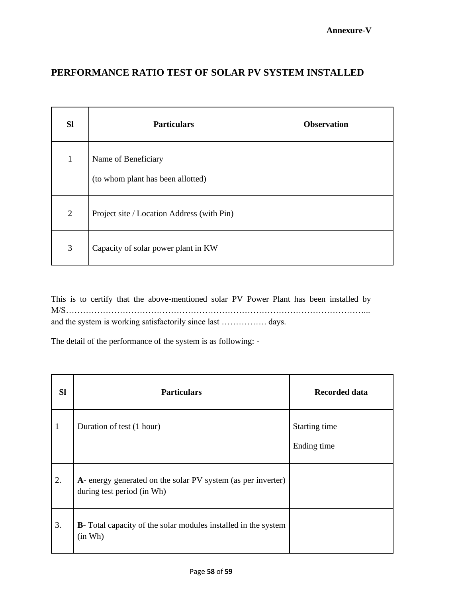# **PERFORMANCE RATIO TEST OF SOLAR PV SYSTEM INSTALLED**

| <b>SI</b>      | <b>Particulars</b>                                       | <b>Observation</b> |
|----------------|----------------------------------------------------------|--------------------|
| 1              | Name of Beneficiary<br>(to whom plant has been allotted) |                    |
| $\overline{2}$ | Project site / Location Address (with Pin)               |                    |
| 3              | Capacity of solar power plant in KW                      |                    |

This is to certify that the above-mentioned solar PV Power Plant has been installed by M/S……………………………………………………………………………………………... and the system is working satisfactorily since last ……………. days.

The detail of the performance of the system is as following: -

| <b>Sl</b> | <b>Particulars</b>                                                                         | Recorded data                |
|-----------|--------------------------------------------------------------------------------------------|------------------------------|
| 1         | Duration of test (1 hour)                                                                  | Starting time<br>Ending time |
| 2.        | A- energy generated on the solar PV system (as per inverter)<br>during test period (in Wh) |                              |
| 3.        | <b>B</b> - Total capacity of the solar modules installed in the system<br>(in Wh)          |                              |